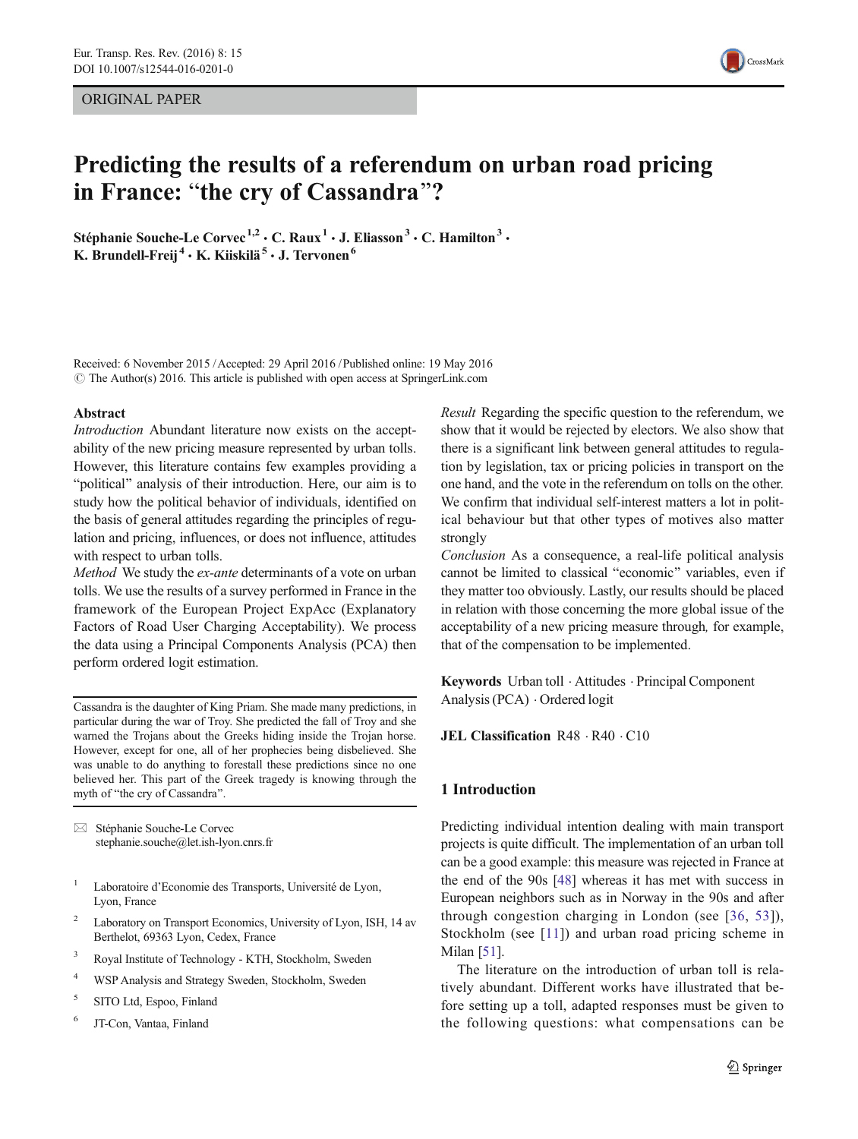# <span id="page-0-0"></span>ORIGINAL PAPER



# Predicting the results of a referendum on urban road pricing in France: "the cry of Cassandra"?

Stéphanie Souche-Le Corvec<sup>1,2</sup> · C. Raux<sup>1</sup> · J. Eliasson<sup>3</sup> · C. Hamilton<sup>3</sup> · K. Brundell-Freij<sup>4</sup> · K. Kiiskilä<sup>5</sup> · J. Tervonen<sup>6</sup>

Received: 6 November 2015 /Accepted: 29 April 2016 /Published online: 19 May 2016  $\odot$  The Author(s) 2016. This article is published with open access at SpringerLink.com

#### Abstract

Introduction Abundant literature now exists on the acceptability of the new pricing measure represented by urban tolls. However, this literature contains few examples providing a "political" analysis of their introduction. Here, our aim is to study how the political behavior of individuals, identified on the basis of general attitudes regarding the principles of regulation and pricing, influences, or does not influence, attitudes with respect to urban tolls.

Method We study the ex-ante determinants of a vote on urban tolls. We use the results of a survey performed in France in the framework of the European Project ExpAcc (Explanatory Factors of Road User Charging Acceptability). We process the data using a Principal Components Analysis (PCA) then perform ordered logit estimation.

Cassandra is the daughter of King Priam. She made many predictions, in particular during the war of Troy. She predicted the fall of Troy and she warned the Trojans about the Greeks hiding inside the Trojan horse. However, except for one, all of her prophecies being disbelieved. She was unable to do anything to forestall these predictions since no one believed her. This part of the Greek tragedy is knowing through the myth of "the cry of Cassandra".

 $\boxtimes$  Stéphanie Souche-Le Corvec stephanie.souche@let.ish-lyon.cnrs.fr

- <sup>1</sup> Laboratoire d'Economie des Transports, Université de Lyon, Lyon, France
- <sup>2</sup> Laboratory on Transport Economics, University of Lyon, ISH, 14 av Berthelot, 69363 Lyon, Cedex, France
- <sup>3</sup> Royal Institute of Technology KTH, Stockholm, Sweden
- <sup>4</sup> WSP Analysis and Strategy Sweden, Stockholm, Sweden
- <sup>5</sup> SITO Ltd, Espoo, Finland
- <sup>6</sup> JT-Con, Vantaa, Finland

Result Regarding the specific question to the referendum, we show that it would be rejected by electors. We also show that there is a significant link between general attitudes to regulation by legislation, tax or pricing policies in transport on the one hand, and the vote in the referendum on tolls on the other. We confirm that individual self-interest matters a lot in political behaviour but that other types of motives also matter strongly

Conclusion As a consequence, a real-life political analysis cannot be limited to classical "economic" variables, even if they matter too obviously. Lastly, our results should be placed in relation with those concerning the more global issue of the acceptability of a new pricing measure through, for example, that of the compensation to be implemented.

Keywords Urban toll . Attitudes . Principal Component Analysis (PCA) . Ordered logit

JEL Classification R48 · R40 · C10

# 1 Introduction

Predicting individual intention dealing with main transport projects is quite difficult. The implementation of an urban toll can be a good example: this measure was rejected in France at the end of the 90s [\[48\]](#page-17-0) whereas it has met with success in European neighbors such as in Norway in the 90s and after through congestion charging in London (see [[36](#page-16-0), [53\]](#page-17-0)), Stockholm (see [[11\]](#page-16-0)) and urban road pricing scheme in Milan [\[51\]](#page-17-0).

The literature on the introduction of urban toll is relatively abundant. Different works have illustrated that before setting up a toll, adapted responses must be given to the following questions: what compensations can be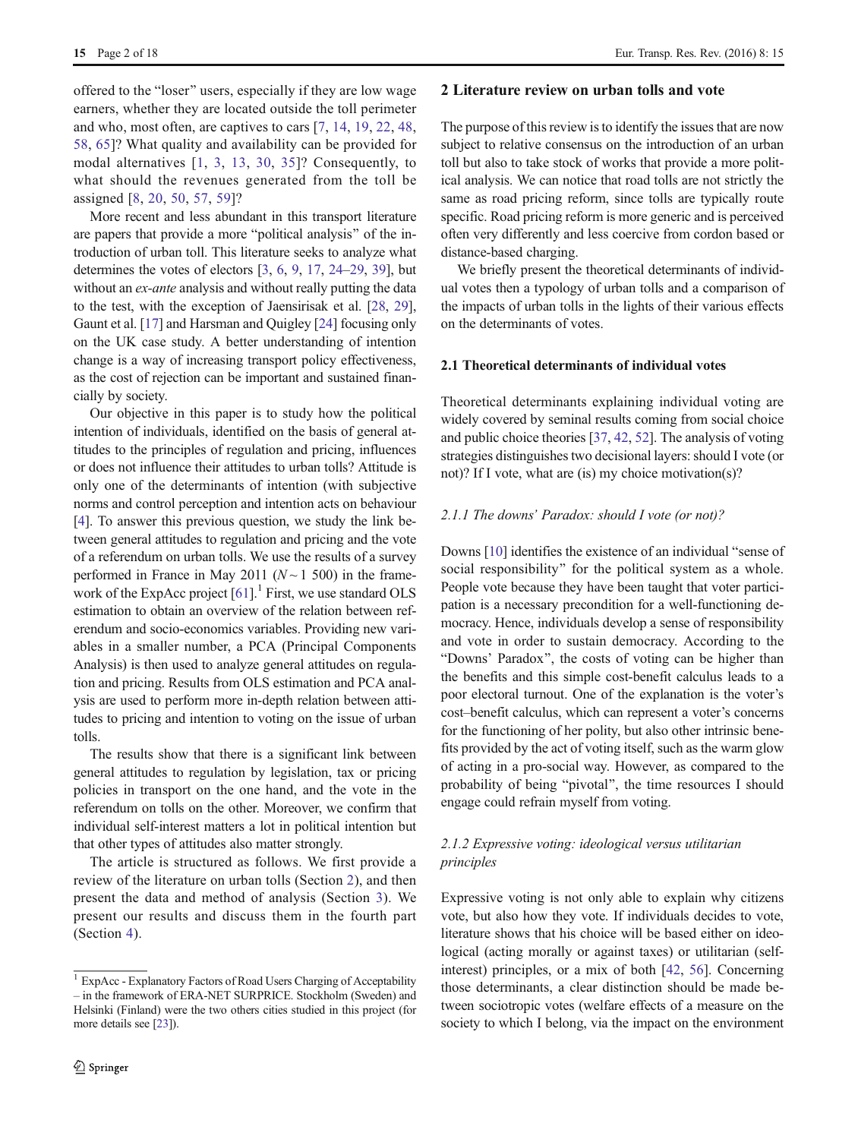offered to the "loser" users, especially if they are low wage earners, whether they are located outside the toll perimeter and who, most often, are captives to cars [[7,](#page-16-0) [14](#page-16-0), [19](#page-16-0), [22](#page-16-0), [48,](#page-17-0) [58](#page-17-0), [65\]](#page-17-0)? What quality and availability can be provided for modal alternatives [[1,](#page-16-0) [3,](#page-16-0) [13](#page-16-0), [30](#page-16-0), [35\]](#page-16-0)? Consequently, to what should the revenues generated from the toll be assigned [\[8](#page-16-0), [20](#page-16-0), [50,](#page-17-0) [57,](#page-17-0) [59](#page-17-0)]?

More recent and less abundant in this transport literature are papers that provide a more "political analysis" of the introduction of urban toll. This literature seeks to analyze what determines the votes of electors [[3,](#page-16-0) [6](#page-16-0), [9](#page-16-0), [17,](#page-16-0) [24](#page-16-0)–[29,](#page-16-0) [39](#page-16-0)], but without an *ex-ante* analysis and without really putting the data to the test, with the exception of Jaensirisak et al. [\[28,](#page-16-0) [29\]](#page-16-0), Gaunt et al. [\[17](#page-16-0)] and Harsman and Quigley [\[24](#page-16-0)] focusing only on the UK case study. A better understanding of intention change is a way of increasing transport policy effectiveness, as the cost of rejection can be important and sustained financially by society.

Our objective in this paper is to study how the political intention of individuals, identified on the basis of general attitudes to the principles of regulation and pricing, influences or does not influence their attitudes to urban tolls? Attitude is only one of the determinants of intention (with subjective norms and control perception and intention acts on behaviour [\[4](#page-16-0)]. To answer this previous question, we study the link between general attitudes to regulation and pricing and the vote of a referendum on urban tolls. We use the results of a survey performed in France in May 2011 ( $N \sim 1$  500) in the framework of the ExpAcc project  $[61]$  $[61]$ .<sup>1</sup> First, we use standard OLS estimation to obtain an overview of the relation between referendum and socio-economics variables. Providing new variables in a smaller number, a PCA (Principal Components Analysis) is then used to analyze general attitudes on regulation and pricing. Results from OLS estimation and PCA analysis are used to perform more in-depth relation between attitudes to pricing and intention to voting on the issue of urban tolls.

The results show that there is a significant link between general attitudes to regulation by legislation, tax or pricing policies in transport on the one hand, and the vote in the referendum on tolls on the other. Moreover, we confirm that individual self-interest matters a lot in political intention but that other types of attitudes also matter strongly.

The article is structured as follows. We first provide a review of the literature on urban tolls (Section 2), and then present the data and method of analysis (Section [3](#page-4-0)). We present our results and discuss them in the fourth part (Section [4\)](#page-8-0).

## 2 Literature review on urban tolls and vote

The purpose of this review is to identify the issues that are now subject to relative consensus on the introduction of an urban toll but also to take stock of works that provide a more political analysis. We can notice that road tolls are not strictly the same as road pricing reform, since tolls are typically route specific. Road pricing reform is more generic and is perceived often very differently and less coercive from cordon based or distance-based charging.

We briefly present the theoretical determinants of individual votes then a typology of urban tolls and a comparison of the impacts of urban tolls in the lights of their various effects on the determinants of votes.

# 2.1 Theoretical determinants of individual votes

Theoretical determinants explaining individual voting are widely covered by seminal results coming from social choice and public choice theories [\[37,](#page-16-0) [42](#page-16-0), [52\]](#page-17-0). The analysis of voting strategies distinguishes two decisional layers: should I vote (or not)? If I vote, what are (is) my choice motivation(s)?

# 2.1.1 The downs' Paradox: should I vote (or not)?

Downs [\[10](#page-16-0)] identifies the existence of an individual "sense of social responsibility" for the political system as a whole. People vote because they have been taught that voter participation is a necessary precondition for a well-functioning democracy. Hence, individuals develop a sense of responsibility and vote in order to sustain democracy. According to the "Downs' Paradox", the costs of voting can be higher than the benefits and this simple cost-benefit calculus leads to a poor electoral turnout. One of the explanation is the voter's cost–benefit calculus, which can represent a voter's concerns for the functioning of her polity, but also other intrinsic benefits provided by the act of voting itself, such as the warm glow of acting in a pro-social way. However, as compared to the probability of being "pivotal", the time resources I should engage could refrain myself from voting.

# 2.1.2 Expressive voting: ideological versus utilitarian principles

Expressive voting is not only able to explain why citizens vote, but also how they vote. If individuals decides to vote, literature shows that his choice will be based either on ideological (acting morally or against taxes) or utilitarian (selfinterest) principles, or a mix of both [[42](#page-16-0), [56\]](#page-17-0). Concerning those determinants, a clear distinction should be made between sociotropic votes (welfare effects of a measure on the society to which I belong, via the impact on the environment

<sup>&</sup>lt;sup>1</sup> ExpAcc - Explanatory Factors of Road Users Charging of Acceptability – in the framework of ERA-NET SURPRICE. Stockholm (Sweden) and Helsinki (Finland) were the two others cities studied in this project (for more details see [[23](#page-16-0)]).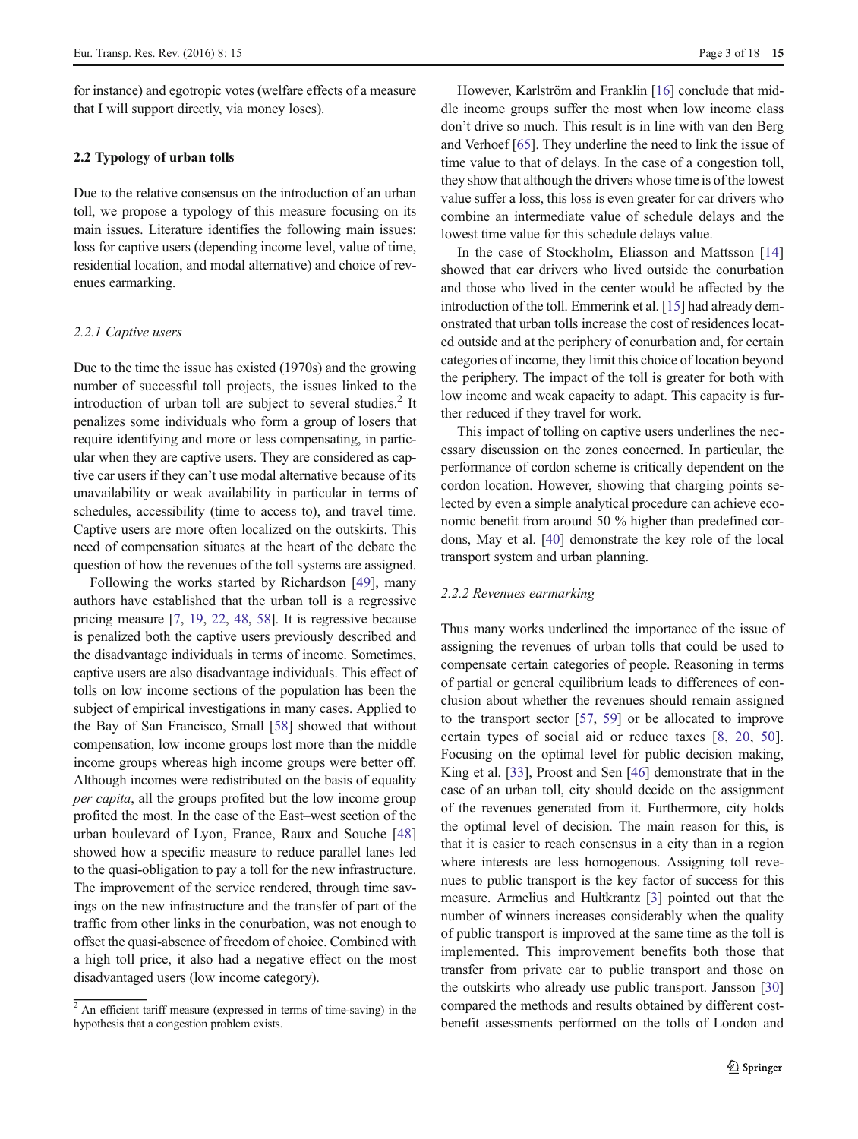for instance) and egotropic votes (welfare effects of a measure that I will support directly, via money loses).

# 2.2 Typology of urban tolls

Due to the relative consensus on the introduction of an urban toll, we propose a typology of this measure focusing on its main issues. Literature identifies the following main issues: loss for captive users (depending income level, value of time, residential location, and modal alternative) and choice of revenues earmarking.

#### 2.2.1 Captive users

Due to the time the issue has existed (1970s) and the growing number of successful toll projects, the issues linked to the introduction of urban toll are subject to several studies.<sup>2</sup> It penalizes some individuals who form a group of losers that require identifying and more or less compensating, in particular when they are captive users. They are considered as captive car users if they can't use modal alternative because of its unavailability or weak availability in particular in terms of schedules, accessibility (time to access to), and travel time. Captive users are more often localized on the outskirts. This need of compensation situates at the heart of the debate the question of how the revenues of the toll systems are assigned.

Following the works started by Richardson [\[49](#page-17-0)], many authors have established that the urban toll is a regressive pricing measure [[7](#page-16-0), [19](#page-16-0), [22,](#page-16-0) [48](#page-17-0), [58](#page-17-0)]. It is regressive because is penalized both the captive users previously described and the disadvantage individuals in terms of income. Sometimes, captive users are also disadvantage individuals. This effect of tolls on low income sections of the population has been the subject of empirical investigations in many cases. Applied to the Bay of San Francisco, Small [\[58](#page-17-0)] showed that without compensation, low income groups lost more than the middle income groups whereas high income groups were better off. Although incomes were redistributed on the basis of equality per capita, all the groups profited but the low income group profited the most. In the case of the East–west section of the urban boulevard of Lyon, France, Raux and Souche [[48\]](#page-17-0) showed how a specific measure to reduce parallel lanes led to the quasi-obligation to pay a toll for the new infrastructure. The improvement of the service rendered, through time savings on the new infrastructure and the transfer of part of the traffic from other links in the conurbation, was not enough to offset the quasi-absence of freedom of choice. Combined with a high toll price, it also had a negative effect on the most disadvantaged users (low income category).

However, Karlström and Franklin [\[16](#page-16-0)] conclude that middle income groups suffer the most when low income class don't drive so much. This result is in line with van den Berg and Verhoef [[65\]](#page-17-0). They underline the need to link the issue of time value to that of delays. In the case of a congestion toll, they show that although the drivers whose time is of the lowest value suffer a loss, this loss is even greater for car drivers who combine an intermediate value of schedule delays and the lowest time value for this schedule delays value.

In the case of Stockholm, Eliasson and Mattsson [[14](#page-16-0)] showed that car drivers who lived outside the conurbation and those who lived in the center would be affected by the introduction of the toll. Emmerink et al. [[15\]](#page-16-0) had already demonstrated that urban tolls increase the cost of residences located outside and at the periphery of conurbation and, for certain categories of income, they limit this choice of location beyond the periphery. The impact of the toll is greater for both with low income and weak capacity to adapt. This capacity is further reduced if they travel for work.

This impact of tolling on captive users underlines the necessary discussion on the zones concerned. In particular, the performance of cordon scheme is critically dependent on the cordon location. However, showing that charging points selected by even a simple analytical procedure can achieve economic benefit from around 50 % higher than predefined cordons, May et al. [\[40\]](#page-16-0) demonstrate the key role of the local transport system and urban planning.

#### 2.2.2 Revenues earmarking

Thus many works underlined the importance of the issue of assigning the revenues of urban tolls that could be used to compensate certain categories of people. Reasoning in terms of partial or general equilibrium leads to differences of conclusion about whether the revenues should remain assigned to the transport sector [\[57](#page-17-0), [59](#page-17-0)] or be allocated to improve certain types of social aid or reduce taxes [[8](#page-16-0), [20,](#page-16-0) [50](#page-17-0)]. Focusing on the optimal level for public decision making, King et al. [\[33\]](#page-16-0), Proost and Sen [\[46\]](#page-17-0) demonstrate that in the case of an urban toll, city should decide on the assignment of the revenues generated from it. Furthermore, city holds the optimal level of decision. The main reason for this, is that it is easier to reach consensus in a city than in a region where interests are less homogenous. Assigning toll revenues to public transport is the key factor of success for this measure. Armelius and Hultkrantz [[3\]](#page-16-0) pointed out that the number of winners increases considerably when the quality of public transport is improved at the same time as the toll is implemented. This improvement benefits both those that transfer from private car to public transport and those on the outskirts who already use public transport. Jansson [\[30](#page-16-0)] compared the methods and results obtained by different costbenefit assessments performed on the tolls of London and

 $2$ An efficient tariff measure (expressed in terms of time-saving) in the hypothesis that a congestion problem exists.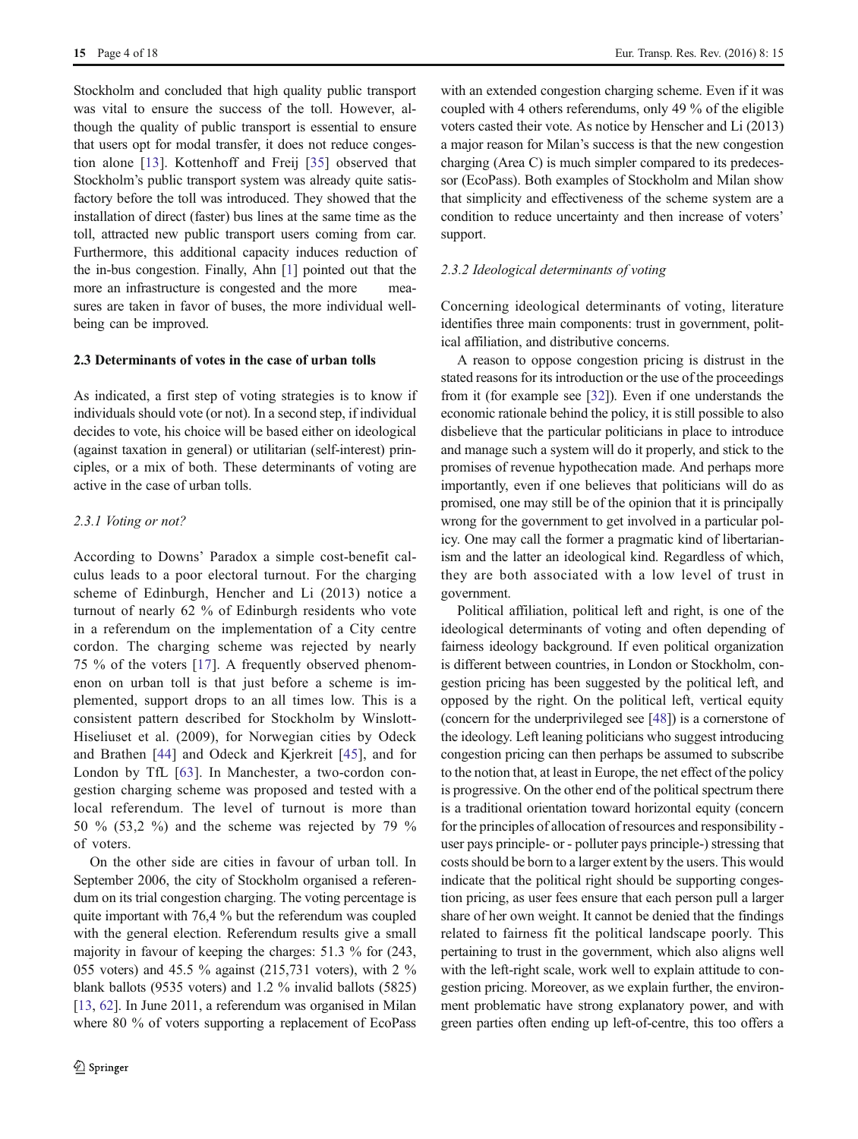Stockholm and concluded that high quality public transport was vital to ensure the success of the toll. However, although the quality of public transport is essential to ensure that users opt for modal transfer, it does not reduce congestion alone [[13\]](#page-16-0). Kottenhoff and Freij [\[35\]](#page-16-0) observed that Stockholm's public transport system was already quite satisfactory before the toll was introduced. They showed that the installation of direct (faster) bus lines at the same time as the toll, attracted new public transport users coming from car. Furthermore, this additional capacity induces reduction of the in-bus congestion. Finally, Ahn [[1\]](#page-16-0) pointed out that the more an infrastructure is congested and the more measures are taken in favor of buses, the more individual wellbeing can be improved.

# 2.3 Determinants of votes in the case of urban tolls

As indicated, a first step of voting strategies is to know if individuals should vote (or not). In a second step, if individual decides to vote, his choice will be based either on ideological (against taxation in general) or utilitarian (self-interest) principles, or a mix of both. These determinants of voting are active in the case of urban tolls.

# 2.3.1 Voting or not?

According to Downs' Paradox a simple cost-benefit calculus leads to a poor electoral turnout. For the charging scheme of Edinburgh, Hencher and Li (2013) notice a turnout of nearly 62 % of Edinburgh residents who vote in a referendum on the implementation of a City centre cordon. The charging scheme was rejected by nearly 75 % of the voters [[17](#page-16-0)]. A frequently observed phenomenon on urban toll is that just before a scheme is implemented, support drops to an all times low. This is a consistent pattern described for Stockholm by Winslott-Hiseliuset et al. (2009), for Norwegian cities by Odeck and Brathen [\[44](#page-16-0)] and Odeck and Kjerkreit [[45\]](#page-17-0), and for London by TfL [[63\]](#page-17-0). In Manchester, a two-cordon congestion charging scheme was proposed and tested with a local referendum. The level of turnout is more than 50 % (53,2 %) and the scheme was rejected by 79 % of voters.

On the other side are cities in favour of urban toll. In September 2006, the city of Stockholm organised a referendum on its trial congestion charging. The voting percentage is quite important with 76,4 % but the referendum was coupled with the general election. Referendum results give a small majority in favour of keeping the charges: 51.3 % for (243, 055 voters) and 45.5 % against (215,731 voters), with 2 % blank ballots (9535 voters) and 1.2 % invalid ballots (5825) [\[13,](#page-16-0) [62\]](#page-17-0). In June 2011, a referendum was organised in Milan where 80 % of voters supporting a replacement of EcoPass with an extended congestion charging scheme. Even if it was coupled with 4 others referendums, only 49 % of the eligible voters casted their vote. As notice by Henscher and Li (2013) a major reason for Milan's success is that the new congestion charging (Area C) is much simpler compared to its predecessor (EcoPass). Both examples of Stockholm and Milan show that simplicity and effectiveness of the scheme system are a condition to reduce uncertainty and then increase of voters' support.

#### 2.3.2 Ideological determinants of voting

Concerning ideological determinants of voting, literature identifies three main components: trust in government, political affiliation, and distributive concerns.

A reason to oppose congestion pricing is distrust in the stated reasons for its introduction or the use of the proceedings from it (for example see [\[32](#page-16-0)]). Even if one understands the economic rationale behind the policy, it is still possible to also disbelieve that the particular politicians in place to introduce and manage such a system will do it properly, and stick to the promises of revenue hypothecation made. And perhaps more importantly, even if one believes that politicians will do as promised, one may still be of the opinion that it is principally wrong for the government to get involved in a particular policy. One may call the former a pragmatic kind of libertarianism and the latter an ideological kind. Regardless of which, they are both associated with a low level of trust in government.

Political affiliation, political left and right, is one of the ideological determinants of voting and often depending of fairness ideology background. If even political organization is different between countries, in London or Stockholm, congestion pricing has been suggested by the political left, and opposed by the right. On the political left, vertical equity (concern for the underprivileged see [\[48](#page-17-0)]) is a cornerstone of the ideology. Left leaning politicians who suggest introducing congestion pricing can then perhaps be assumed to subscribe to the notion that, at least in Europe, the net effect of the policy is progressive. On the other end of the political spectrum there is a traditional orientation toward horizontal equity (concern for the principles of allocation of resources and responsibility user pays principle- or - polluter pays principle-) stressing that costs should be born to a larger extent by the users. This would indicate that the political right should be supporting congestion pricing, as user fees ensure that each person pull a larger share of her own weight. It cannot be denied that the findings related to fairness fit the political landscape poorly. This pertaining to trust in the government, which also aligns well with the left-right scale, work well to explain attitude to congestion pricing. Moreover, as we explain further, the environment problematic have strong explanatory power, and with green parties often ending up left-of-centre, this too offers a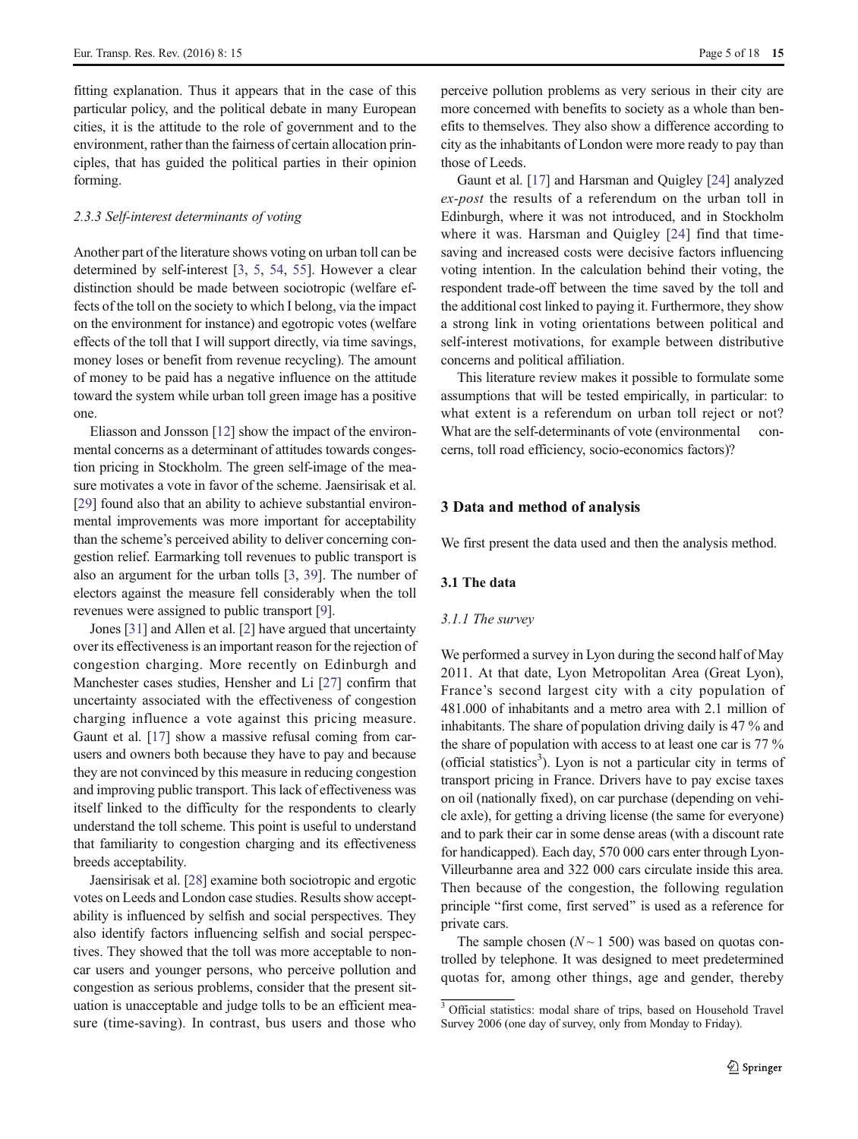<span id="page-4-0"></span>fitting explanation. Thus it appears that in the case of this particular policy, and the political debate in many European cities, it is the attitude to the role of government and to the environment, rather than the fairness of certain allocation principles, that has guided the political parties in their opinion forming.

### 2.3.3 Self-interest determinants of voting

Another part of the literature shows voting on urban toll can be determined by self-interest [[3,](#page-16-0) [5,](#page-16-0) [54](#page-17-0), [55](#page-17-0)]. However a clear distinction should be made between sociotropic (welfare effects of the toll on the society to which I belong, via the impact on the environment for instance) and egotropic votes (welfare effects of the toll that I will support directly, via time savings, money loses or benefit from revenue recycling). The amount of money to be paid has a negative influence on the attitude toward the system while urban toll green image has a positive one.

Eliasson and Jonsson [\[12](#page-16-0)] show the impact of the environmental concerns as a determinant of attitudes towards congestion pricing in Stockholm. The green self-image of the measure motivates a vote in favor of the scheme. Jaensirisak et al. [\[29\]](#page-16-0) found also that an ability to achieve substantial environmental improvements was more important for acceptability than the scheme's perceived ability to deliver concerning congestion relief. Earmarking toll revenues to public transport is also an argument for the urban tolls [\[3](#page-16-0), [39\]](#page-16-0). The number of electors against the measure fell considerably when the toll revenues were assigned to public transport [\[9](#page-16-0)].

Jones [\[31](#page-16-0)] and Allen et al. [\[2](#page-16-0)] have argued that uncertainty over its effectiveness is an important reason for the rejection of congestion charging. More recently on Edinburgh and Manchester cases studies, Hensher and Li [\[27](#page-16-0)] confirm that uncertainty associated with the effectiveness of congestion charging influence a vote against this pricing measure. Gaunt et al. [\[17\]](#page-16-0) show a massive refusal coming from carusers and owners both because they have to pay and because they are not convinced by this measure in reducing congestion and improving public transport. This lack of effectiveness was itself linked to the difficulty for the respondents to clearly understand the toll scheme. This point is useful to understand that familiarity to congestion charging and its effectiveness breeds acceptability.

Jaensirisak et al. [[28\]](#page-16-0) examine both sociotropic and ergotic votes on Leeds and London case studies. Results show acceptability is influenced by selfish and social perspectives. They also identify factors influencing selfish and social perspectives. They showed that the toll was more acceptable to noncar users and younger persons, who perceive pollution and congestion as serious problems, consider that the present situation is unacceptable and judge tolls to be an efficient measure (time-saving). In contrast, bus users and those who perceive pollution problems as very serious in their city are more concerned with benefits to society as a whole than benefits to themselves. They also show a difference according to city as the inhabitants of London were more ready to pay than those of Leeds.

Gaunt et al. [\[17\]](#page-16-0) and Harsman and Quigley [[24\]](#page-16-0) analyzed ex-post the results of a referendum on the urban toll in Edinburgh, where it was not introduced, and in Stockholm where it was. Harsman and Quigley [[24](#page-16-0)] find that timesaving and increased costs were decisive factors influencing voting intention. In the calculation behind their voting, the respondent trade-off between the time saved by the toll and the additional cost linked to paying it. Furthermore, they show a strong link in voting orientations between political and self-interest motivations, for example between distributive concerns and political affiliation.

This literature review makes it possible to formulate some assumptions that will be tested empirically, in particular: to what extent is a referendum on urban toll reject or not? What are the self-determinants of vote (environmental concerns, toll road efficiency, socio-economics factors)?

## 3 Data and method of analysis

We first present the data used and then the analysis method.

# 3.1 The data

## 3.1.1 The survey

We performed a survey in Lyon during the second half of May 2011. At that date, Lyon Metropolitan Area (Great Lyon), France's second largest city with a city population of 481.000 of inhabitants and a metro area with 2.1 million of inhabitants. The share of population driving daily is 47 % and the share of population with access to at least one car is 77 % (official statistics<sup>3</sup>). Lyon is not a particular city in terms of transport pricing in France. Drivers have to pay excise taxes on oil (nationally fixed), on car purchase (depending on vehicle axle), for getting a driving license (the same for everyone) and to park their car in some dense areas (with a discount rate for handicapped). Each day, 570 000 cars enter through Lyon-Villeurbanne area and 322 000 cars circulate inside this area. Then because of the congestion, the following regulation principle "first come, first served" is used as a reference for private cars.

The sample chosen  $(N \sim 1, 500)$  was based on quotas controlled by telephone. It was designed to meet predetermined quotas for, among other things, age and gender, thereby

<sup>&</sup>lt;sup>3</sup> Official statistics: modal share of trips, based on Household Travel Survey 2006 (one day of survey, only from Monday to Friday).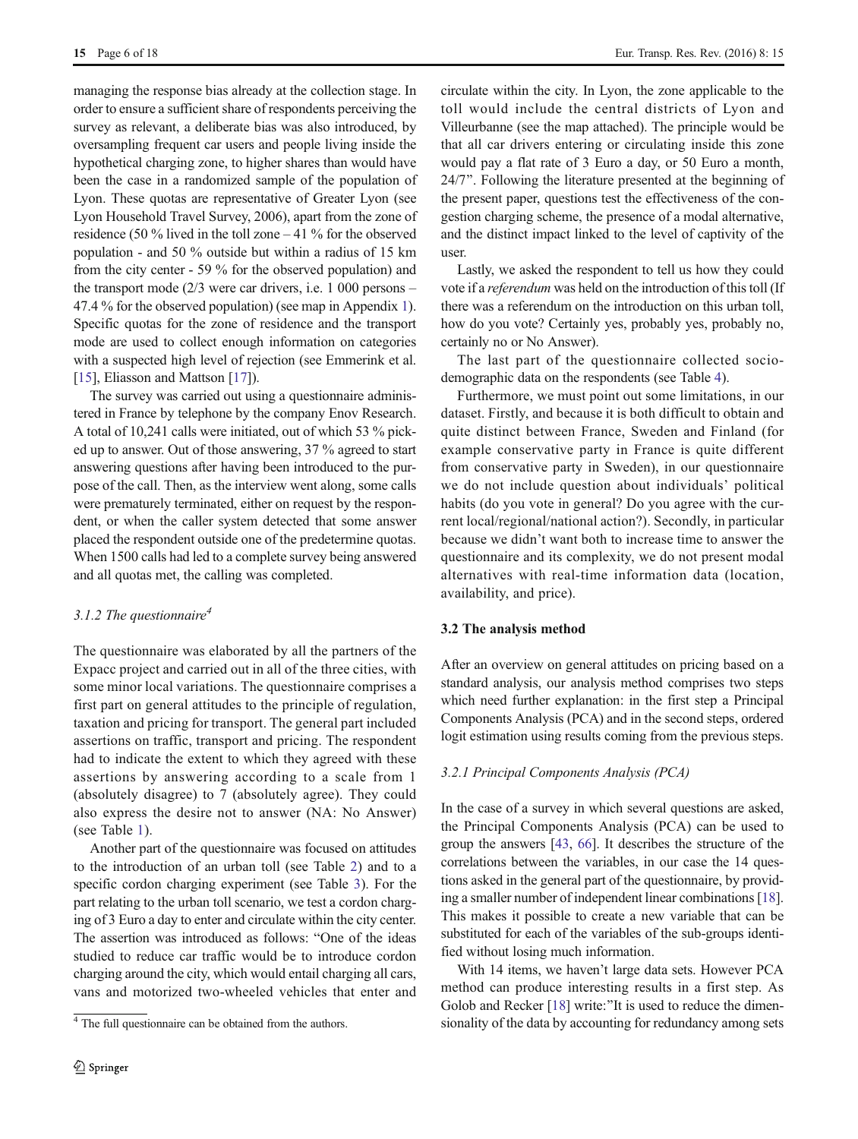managing the response bias already at the collection stage. In order to ensure a sufficient share of respondents perceiving the survey as relevant, a deliberate bias was also introduced, by oversampling frequent car users and people living inside the hypothetical charging zone, to higher shares than would have been the case in a randomized sample of the population of Lyon. These quotas are representative of Greater Lyon (see Lyon Household Travel Survey, 2006), apart from the zone of residence (50 % lived in the toll zone – 41 % for the observed population - and 50 % outside but within a radius of 15 km from the city center - 59 % for the observed population) and the transport mode (2/3 were car drivers, i.e. 1 000 persons – 47.4 % for the observed population) (see map in Appendix [1\)](#page-0-0). Specific quotas for the zone of residence and the transport mode are used to collect enough information on categories with a suspected high level of rejection (see Emmerink et al. [\[15\]](#page-16-0), Eliasson and Mattson [[17\]](#page-16-0)).

The survey was carried out using a questionnaire administered in France by telephone by the company Enov Research. A total of 10,241 calls were initiated, out of which 53 % picked up to answer. Out of those answering, 37 % agreed to start answering questions after having been introduced to the purpose of the call. Then, as the interview went along, some calls were prematurely terminated, either on request by the respondent, or when the caller system detected that some answer placed the respondent outside one of the predetermine quotas. When 1500 calls had led to a complete survey being answered and all quotas met, the calling was completed.

# 3.1.2 The questionnaire<sup>4</sup>

The questionnaire was elaborated by all the partners of the Expacc project and carried out in all of the three cities, with some minor local variations. The questionnaire comprises a first part on general attitudes to the principle of regulation, taxation and pricing for transport. The general part included assertions on traffic, transport and pricing. The respondent had to indicate the extent to which they agreed with these assertions by answering according to a scale from 1 (absolutely disagree) to 7 (absolutely agree). They could also express the desire not to answer (NA: No Answer) (see Table [1](#page-6-0)).

Another part of the questionnaire was focused on attitudes to the introduction of an urban toll (see Table [2](#page-6-0)) and to a specific cordon charging experiment (see Table [3\)](#page-7-0). For the part relating to the urban toll scenario, we test a cordon charging of 3 Euro a day to enter and circulate within the city center. The assertion was introduced as follows: "One of the ideas studied to reduce car traffic would be to introduce cordon charging around the city, which would entail charging all cars, vans and motorized two-wheeled vehicles that enter and circulate within the city. In Lyon, the zone applicable to the toll would include the central districts of Lyon and Villeurbanne (see the map attached). The principle would be that all car drivers entering or circulating inside this zone would pay a flat rate of 3 Euro a day, or 50 Euro a month, 24/7". Following the literature presented at the beginning of the present paper, questions test the effectiveness of the congestion charging scheme, the presence of a modal alternative, and the distinct impact linked to the level of captivity of the user.

Lastly, we asked the respondent to tell us how they could vote if a referendum was held on the introduction of this toll (If there was a referendum on the introduction on this urban toll, how do you vote? Certainly yes, probably yes, probably no, certainly no or No Answer).

The last part of the questionnaire collected sociodemographic data on the respondents (see Table [4](#page-7-0)).

Furthermore, we must point out some limitations, in our dataset. Firstly, and because it is both difficult to obtain and quite distinct between France, Sweden and Finland (for example conservative party in France is quite different from conservative party in Sweden), in our questionnaire we do not include question about individuals' political habits (do you vote in general? Do you agree with the current local/regional/national action?). Secondly, in particular because we didn't want both to increase time to answer the questionnaire and its complexity, we do not present modal alternatives with real-time information data (location, availability, and price).

## 3.2 The analysis method

After an overview on general attitudes on pricing based on a standard analysis, our analysis method comprises two steps which need further explanation: in the first step a Principal Components Analysis (PCA) and in the second steps, ordered logit estimation using results coming from the previous steps.

#### 3.2.1 Principal Components Analysis (PCA)

In the case of a survey in which several questions are asked, the Principal Components Analysis (PCA) can be used to group the answers [\[43](#page-16-0), [66\]](#page-17-0). It describes the structure of the correlations between the variables, in our case the 14 questions asked in the general part of the questionnaire, by providing a smaller number of independent linear combinations [[18\]](#page-16-0). This makes it possible to create a new variable that can be substituted for each of the variables of the sub-groups identified without losing much information.

With 14 items, we haven't large data sets. However PCA method can produce interesting results in a first step. As Golob and Recker [\[18\]](#page-16-0) write:"It is used to reduce the dimen-<sup>4</sup> The full questionnaire can be obtained from the authors. Sionality of the data by accounting for redundancy among sets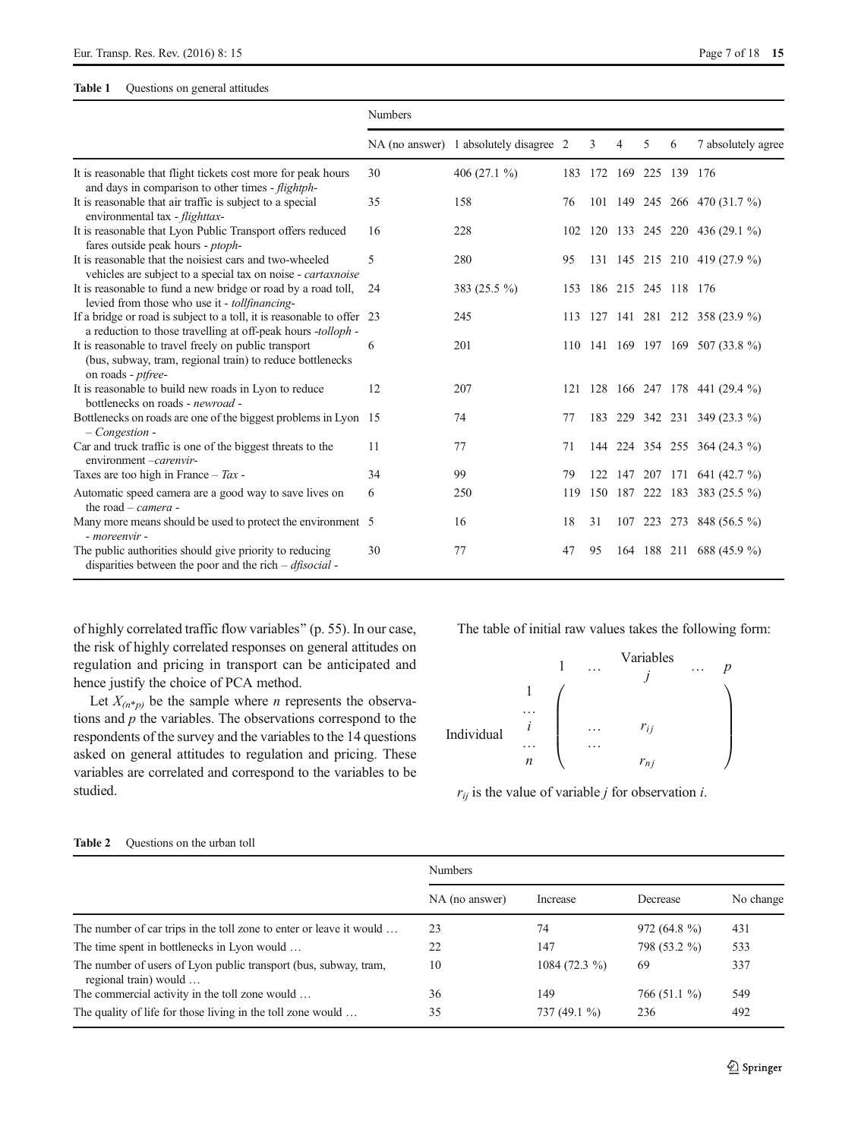# <span id="page-6-0"></span>Table 1 Questions on general attitudes

|                                                                                                                                          | <b>Numbers</b> |                                        |     |    |                     |   |         |                                  |
|------------------------------------------------------------------------------------------------------------------------------------------|----------------|----------------------------------------|-----|----|---------------------|---|---------|----------------------------------|
|                                                                                                                                          |                | NA (no answer) 1 absolutely disagree 2 |     | 3  | 4                   | 5 | 6       | 7 absolutely agree               |
| It is reasonable that flight tickets cost more for peak hours<br>and days in comparison to other times - flightph-                       | 30             | 406 $(27.1\%)$                         | 183 |    | 172 169 225         |   | 139 176 |                                  |
| It is reasonable that air traffic is subject to a special<br>environmental tax - flighttax-                                              | 35             | 158                                    | 76  |    |                     |   |         | 101 149 245 266 470 (31.7 %)     |
| It is reasonable that Lyon Public Transport offers reduced<br>fares outside peak hours - ptoph-                                          | 16             | 228                                    | 102 |    |                     |   |         | 120 133 245 220 436 (29.1 %)     |
| It is reasonable that the noisiest cars and two-wheeled<br>vehicles are subject to a special tax on noise - cartaxnoise                  | 5              | 280                                    | 95  |    |                     |   |         | 131 145 215 210 419 (27.9 %)     |
| It is reasonable to fund a new bridge or road by a road toll,<br>levied from those who use it - tollfinancing-                           | 24             | 383 (25.5 %)                           | 153 |    | 186 215 245 118 176 |   |         |                                  |
| If a bridge or road is subject to a toll, it is reasonable to offer 23<br>a reduction to those travelling at off-peak hours -tolloph -   |                | 245                                    | 113 |    |                     |   |         | 127 141 281 212 358 (23.9 %)     |
| It is reasonable to travel freely on public transport<br>(bus, subway, tram, regional train) to reduce bottlenecks<br>on roads - ptfree- | 6              | 201                                    |     |    |                     |   |         | 110 141 169 197 169 507 (33.8 %) |
| It is reasonable to build new roads in Lyon to reduce<br>bottlenecks on roads - newroad -                                                | 12             | 207                                    |     |    |                     |   |         | 121 128 166 247 178 441 (29.4 %) |
| Bottlenecks on roads are one of the biggest problems in Lyon 15<br>$-$ Congestion -                                                      |                | 74                                     | 77  |    |                     |   |         | 183 229 342 231 349 (23.3 %)     |
| Car and truck traffic is one of the biggest threats to the<br>environment -carenvir-                                                     | 11             | 77                                     | 71  |    |                     |   |         | 144 224 354 255 364 (24.3 %)     |
| Taxes are too high in France – $Tax$ -                                                                                                   | 34             | 99                                     | 79  |    |                     |   |         | 122 147 207 171 641 (42.7 %)     |
| Automatic speed camera are a good way to save lives on<br>the road $-$ <i>camera</i> -                                                   | 6              | 250                                    | 119 |    |                     |   |         | 150 187 222 183 383 (25.5 %)     |
| Many more means should be used to protect the environment 5<br>- moreenvir -                                                             |                | 16                                     | 18  | 31 |                     |   |         | 107 223 273 848 (56.5 %)         |
| The public authorities should give priority to reducing<br>disparities between the poor and the rich $-df$ isocial -                     | 30             | 77                                     | 47  | 95 |                     |   |         | 164 188 211 688 (45.9 %)         |

of highly correlated traffic flow variables^ (p. 55). In our case, the risk of highly correlated responses on general attitudes on regulation and pricing in transport can be anticipated and hence justify the choice of PCA method.

Let  $X_{(n * p)}$  be the sample where *n* represents the observations and  $p$  the variables. The observations correspond to the respondents of the survey and the variables to the 14 questions asked on general attitudes to regulation and pricing. These variables are correlated and correspond to the variables to be studied.

The table of initial raw values takes the following form:



 $r_{ij}$  is the value of variable *j* for observation *i*.

|                                                                                           | <b>Numbers</b> |                |               |           |  |  |  |  |
|-------------------------------------------------------------------------------------------|----------------|----------------|---------------|-----------|--|--|--|--|
|                                                                                           | NA (no answer) | Increase       | Decrease      | No change |  |  |  |  |
| The number of car trips in the toll zone to enter or leave it would                       | 23             | 74             | $972(64.8\%)$ | 431       |  |  |  |  |
| The time spent in bottlenecks in Lyon would                                               | 22             | 147            | 798 (53.2 %)  | 533       |  |  |  |  |
| The number of users of Lyon public transport (bus, subway, tram,<br>regional train) would | 10             | $1084(72.3\%)$ | 69            | 337       |  |  |  |  |
| The commercial activity in the toll zone would                                            | 36             | 149            | $766(51.1\%)$ | 549       |  |  |  |  |
| The quality of life for those living in the toll zone would                               | 35             | 737 $(49.1\%)$ | 236           | 492       |  |  |  |  |

#### Table 2 Ouestions on the urban toll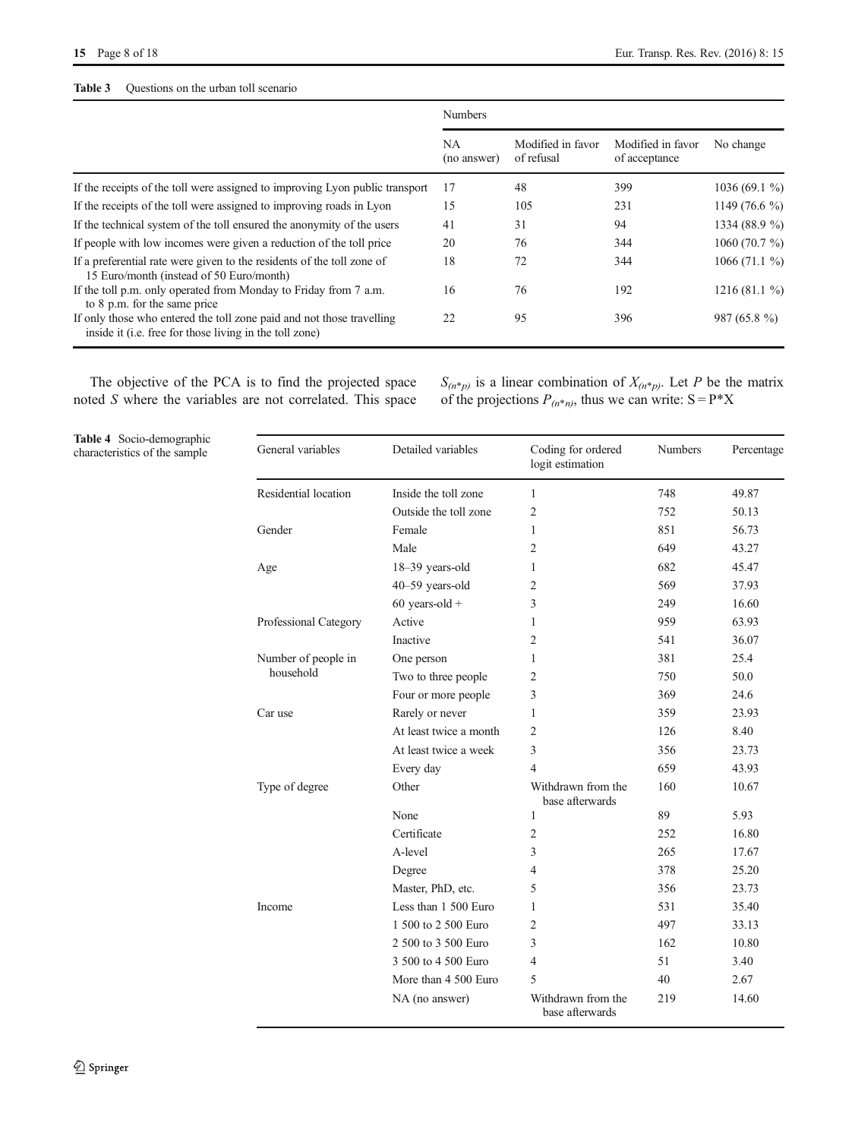# <span id="page-7-0"></span>Table 3 Questions on the urban toll scenario

|                                                                                                                                  | <b>Numbers</b>    |                                 |                                    |                 |  |  |
|----------------------------------------------------------------------------------------------------------------------------------|-------------------|---------------------------------|------------------------------------|-----------------|--|--|
|                                                                                                                                  | NA<br>(no answer) | Modified in favor<br>of refusal | Modified in favor<br>of acceptance | No change       |  |  |
| If the receipts of the toll were assigned to improving Lyon public transport                                                     | 17                | 48                              | 399                                | $1036(69.1\%)$  |  |  |
| If the receipts of the toll were assigned to improving roads in Lyon                                                             | 15                | 105                             | 231                                | 1149 $(76.6\%$  |  |  |
| If the technical system of the toll ensured the anonymity of the users                                                           | 41                | 31                              | 94                                 | 1334 (88.9 %)   |  |  |
| If people with low incomes were given a reduction of the toll price                                                              | 20                | 76                              | 344                                | 1060 $(70.7\%)$ |  |  |
| If a preferential rate were given to the residents of the toll zone of<br>15 Euro/month (instead of 50 Euro/month)               | 18                | 72                              | 344                                | $1066(71.1\%)$  |  |  |
| If the toll p.m. only operated from Monday to Friday from 7 a.m.<br>to 8 p.m. for the same price                                 | 16                | 76                              | 192                                | 1216(81.1%)     |  |  |
| If only those who entered the toll zone paid and not those travelling<br>inside it (i.e. free for those living in the toll zone) | 22                | 95                              | 396                                | $987(65.8\%)$   |  |  |

The objective of the PCA is to find the projected space noted S where the variables are not correlated. This space  $S_{(n^*p)}$  is a linear combination of  $X_{(n^*p)}$ . Let P be the matrix of the projections  $P_{(n^*n)}$ , thus we can write:  $S = P^*X$ 

Table 4 Socio-demographic characteristics of the sample

| General variables     | Detailed variables     | Coding for ordered<br>logit estimation | <b>Numbers</b> | Percentage |
|-----------------------|------------------------|----------------------------------------|----------------|------------|
| Residential location  | Inside the toll zone   | $\mathbf{1}$                           | 748            | 49.87      |
|                       | Outside the toll zone  | $\overline{2}$                         | 752            | 50.13      |
| Gender                | Female                 | $\mathbf{1}$                           | 851            | 56.73      |
|                       | Male                   | $\overline{c}$                         | 649            | 43.27      |
| Age                   | 18-39 years-old        | $\mathbf{1}$                           | 682            | 45.47      |
|                       | 40-59 years-old        | $\overline{2}$                         | 569            | 37.93      |
|                       | $60$ years-old +       | 3                                      | 249            | 16.60      |
| Professional Category | Active                 | $\mathbf{1}$                           | 959            | 63.93      |
|                       | Inactive               | 2                                      | 541            | 36.07      |
| Number of people in   | One person             | 1                                      | 381            | 25.4       |
| household             | Two to three people    | $\overline{2}$                         | 750            | 50.0       |
|                       | Four or more people    | 3                                      | 369            | 24.6       |
| Car use               | Rarely or never        | 1                                      | 359            | 23.93      |
|                       | At least twice a month | $\overline{2}$                         | 126            | 8.40       |
|                       | At least twice a week  | 3                                      | 356            | 23.73      |
|                       | Every day              | $\overline{4}$                         | 659            | 43.93      |
| Type of degree        | Other                  | Withdrawn from the<br>base afterwards  | 160            | 10.67      |
|                       | None                   | 1                                      | 89             | 5.93       |
|                       | Certificate            | $\overline{2}$                         | 252            | 16.80      |
|                       | A-level                | 3                                      | 265            | 17.67      |
|                       | Degree                 | $\overline{4}$                         | 378            | 25.20      |
|                       | Master, PhD, etc.      | 5                                      | 356            | 23.73      |
| Income                | Less than 1 500 Euro   | $\mathbf{1}$                           | 531            | 35.40      |
|                       | 1 500 to 2 500 Euro    | $\overline{2}$                         | 497            | 33.13      |
|                       | 2 500 to 3 500 Euro    | 3                                      | 162            | 10.80      |
|                       | 3 500 to 4 500 Euro    | $\overline{4}$                         | 51             | 3.40       |
|                       | More than 4 500 Euro   | 5                                      | 40             | 2.67       |
|                       | NA (no answer)         | Withdrawn from the<br>base afterwards  | 219            | 14.60      |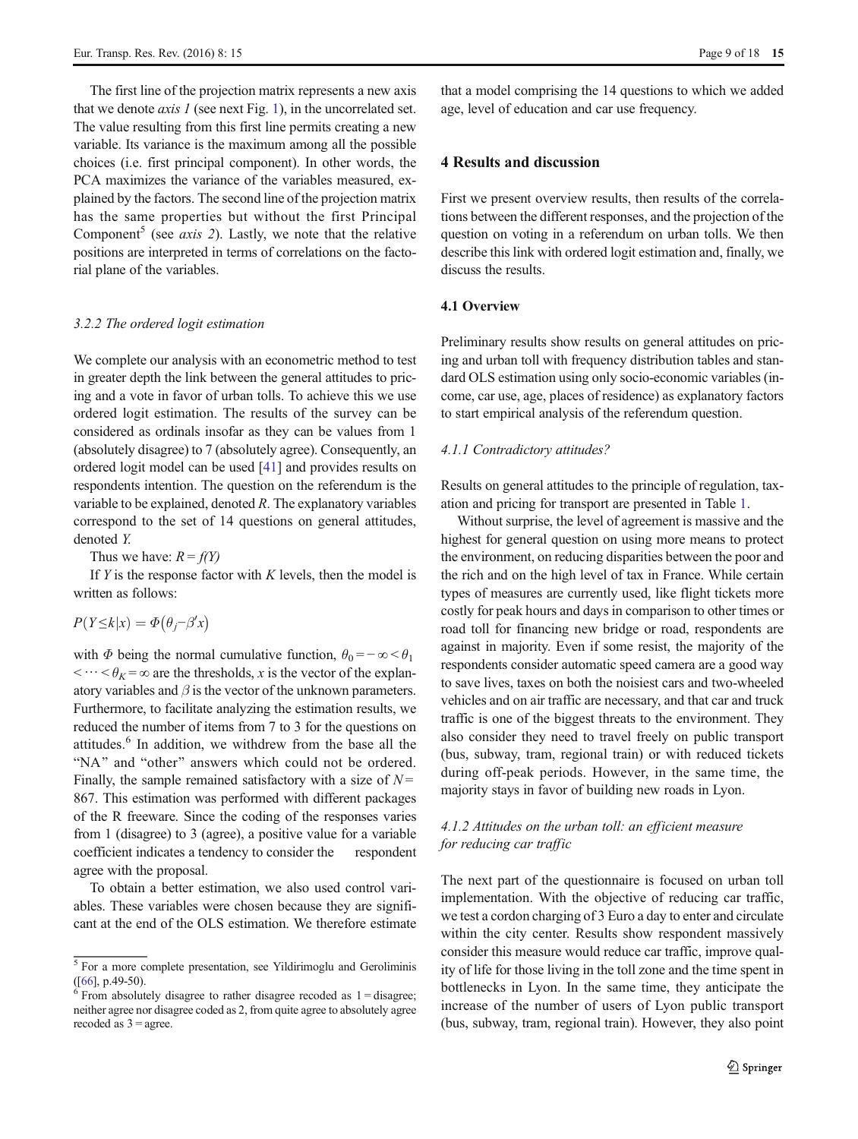<span id="page-8-0"></span>The first line of the projection matrix represents a new axis that we denote *axis 1* (see next Fig. [1\)](#page-9-0), in the uncorrelated set. The value resulting from this first line permits creating a new variable. Its variance is the maximum among all the possible choices (i.e. first principal component). In other words, the PCA maximizes the variance of the variables measured, explained by the factors. The second line of the projection matrix has the same properties but without the first Principal Component<sup>5</sup> (see *axis 2*). Lastly, we note that the relative positions are interpreted in terms of correlations on the factorial plane of the variables.

## 3.2.2 The ordered logit estimation

We complete our analysis with an econometric method to test in greater depth the link between the general attitudes to pricing and a vote in favor of urban tolls. To achieve this we use ordered logit estimation. The results of the survey can be considered as ordinals insofar as they can be values from 1 (absolutely disagree) to 7 (absolutely agree). Consequently, an ordered logit model can be used [[41\]](#page-16-0) and provides results on respondents intention. The question on the referendum is the variable to be explained, denoted R. The explanatory variables correspond to the set of 14 questions on general attitudes, denoted Y.

Thus we have:  $R = f(Y)$ 

If  $Y$  is the response factor with  $K$  levels, then the model is written as follows:

$$
P(Y \le k | x) = \Phi(\theta_j - \beta' x)
$$

with  $\Phi$  being the normal cumulative function,  $\theta_0 = -\infty < \theta_1$  $\langle \cdots \langle \theta_K = \infty \rangle$  are the thresholds, x is the vector of the explanatory variables and  $\beta$  is the vector of the unknown parameters. Furthermore, to facilitate analyzing the estimation results, we reduced the number of items from 7 to 3 for the questions on attitudes.<sup>6</sup> In addition, we withdrew from the base all the "NA" and "other" answers which could not be ordered. Finally, the sample remained satisfactory with a size of  $N =$ 867. This estimation was performed with different packages of the R freeware. Since the coding of the responses varies from 1 (disagree) to 3 (agree), a positive value for a variable coefficient indicates a tendency to consider the respondent agree with the proposal.

To obtain a better estimation, we also used control variables. These variables were chosen because they are significant at the end of the OLS estimation. We therefore estimate

that a model comprising the 14 questions to which we added age, level of education and car use frequency.

# 4 Results and discussion

First we present overview results, then results of the correlations between the different responses, and the projection of the question on voting in a referendum on urban tolls. We then describe this link with ordered logit estimation and, finally, we discuss the results.

# 4.1 Overview

Preliminary results show results on general attitudes on pricing and urban toll with frequency distribution tables and standard OLS estimation using only socio-economic variables (income, car use, age, places of residence) as explanatory factors to start empirical analysis of the referendum question.

## 4.1.1 Contradictory attitudes?

Results on general attitudes to the principle of regulation, taxation and pricing for transport are presented in Table [1.](#page-6-0)

Without surprise, the level of agreement is massive and the highest for general question on using more means to protect the environment, on reducing disparities between the poor and the rich and on the high level of tax in France. While certain types of measures are currently used, like flight tickets more costly for peak hours and days in comparison to other times or road toll for financing new bridge or road, respondents are against in majority. Even if some resist, the majority of the respondents consider automatic speed camera are a good way to save lives, taxes on both the noisiest cars and two-wheeled vehicles and on air traffic are necessary, and that car and truck traffic is one of the biggest threats to the environment. They also consider they need to travel freely on public transport (bus, subway, tram, regional train) or with reduced tickets during off-peak periods. However, in the same time, the majority stays in favor of building new roads in Lyon.

# 4.1.2 Attitudes on the urban toll: an efficient measure for reducing car traffic

The next part of the questionnaire is focused on urban toll implementation. With the objective of reducing car traffic, we test a cordon charging of 3 Euro a day to enter and circulate within the city center. Results show respondent massively consider this measure would reduce car traffic, improve quality of life for those living in the toll zone and the time spent in bottlenecks in Lyon. In the same time, they anticipate the increase of the number of users of Lyon public transport (bus, subway, tram, regional train). However, they also point

 $\frac{5}{5}$  For a more complete presentation, see Yildirimoglu and Geroliminis ([66], p.49-50).

 $<sup>6</sup>$  From absolutely disagree to rather disagree recoded as 1 = disagree;</sup> neither agree nor disagree coded as 2, from quite agree to absolutely agree recoded as  $3 =$  agree.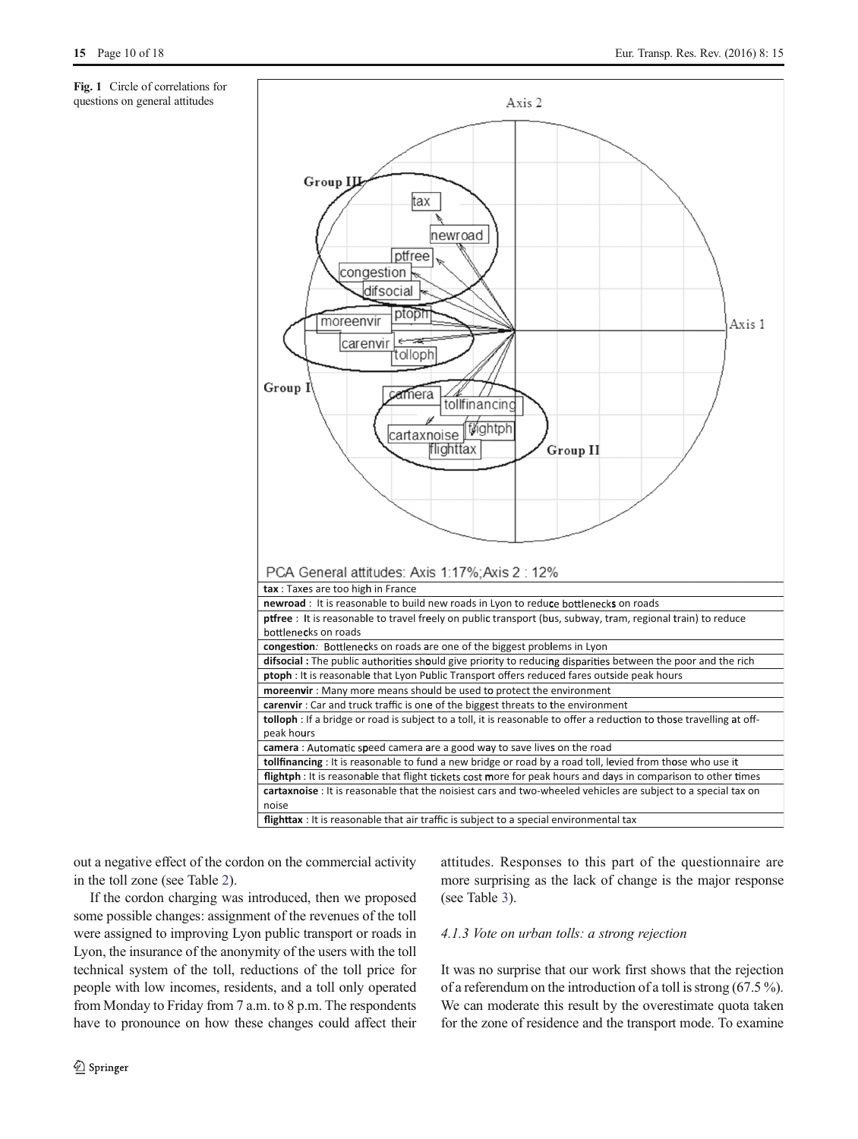<span id="page-9-0"></span>Fig. 1 Circle of correlations for questions on general attitudes



out a negative effect of the cordon on the commercial activity in the toll zone (see Table [2](#page-6-0)).

If the cordon charging was introduced, then we proposed some possible changes: assignment of the revenues of the toll were assigned to improving Lyon public transport or roads in Lyon, the insurance of the anonymity of the users with the toll technical system of the toll, reductions of the toll price for people with low incomes, residents, and a toll only operated from Monday to Friday from 7 a.m. to 8 p.m. The respondents have to pronounce on how these changes could affect their

2 Springer

attitudes. Responses to this part of the questionnaire are more surprising as the lack of change is the major response (see Table [3](#page-7-0)).

# 4.1.3 Vote on urban tolls: a strong rejection

It was no surprise that our work first shows that the rejection of a referendum on the introduction of a toll is strong (67.5 %). We can moderate this result by the overestimate quota taken for the zone of residence and the transport mode. To examine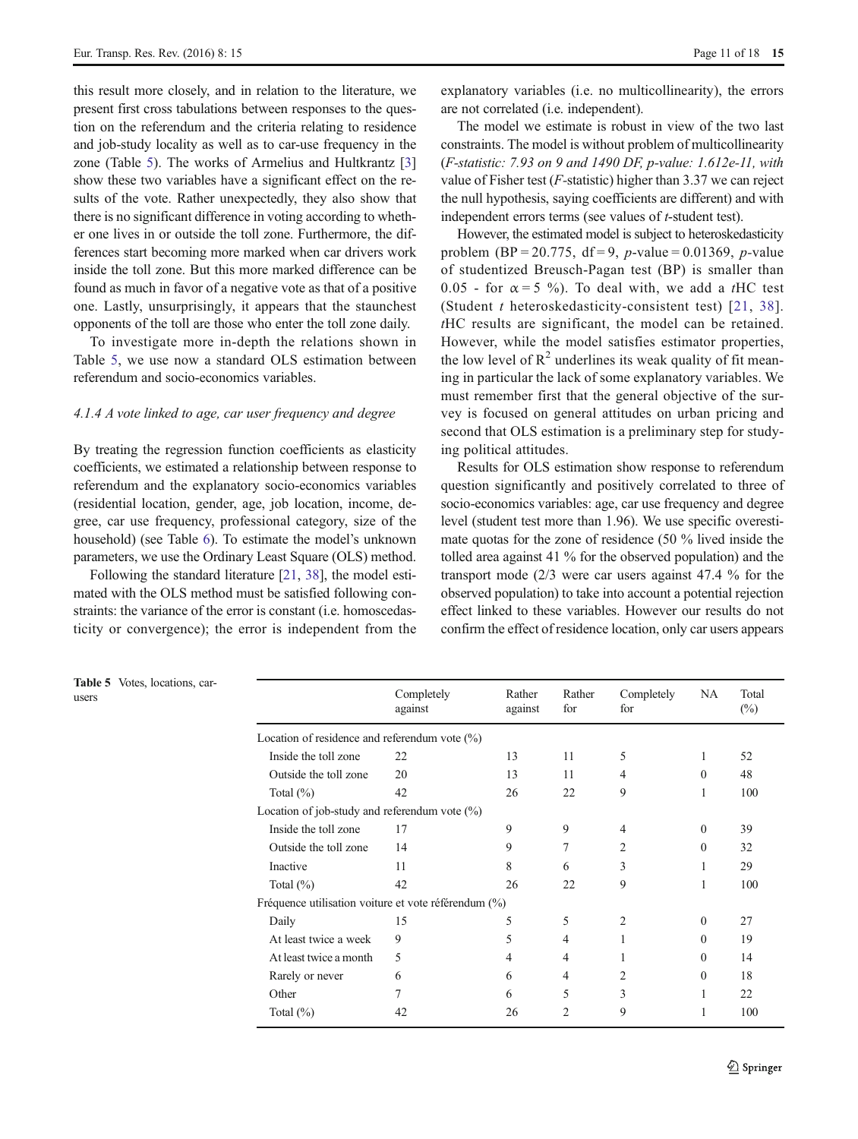this result more closely, and in relation to the literature, we present first cross tabulations between responses to the question on the referendum and the criteria relating to residence and job-study locality as well as to car-use frequency in the zone (Table 5). The works of Armelius and Hultkrantz [\[3\]](#page-16-0) show these two variables have a significant effect on the results of the vote. Rather unexpectedly, they also show that there is no significant difference in voting according to whether one lives in or outside the toll zone. Furthermore, the differences start becoming more marked when car drivers work inside the toll zone. But this more marked difference can be found as much in favor of a negative vote as that of a positive one. Lastly, unsurprisingly, it appears that the staunchest opponents of the toll are those who enter the toll zone daily.

To investigate more in-depth the relations shown in Table 5, we use now a standard OLS estimation between referendum and socio-economics variables.

# 4.1.4 A vote linked to age, car user frequency and degree

By treating the regression function coefficients as elasticity coefficients, we estimated a relationship between response to referendum and the explanatory socio-economics variables (residential location, gender, age, job location, income, degree, car use frequency, professional category, size of the household) (see Table [6\)](#page-11-0). To estimate the model's unknown parameters, we use the Ordinary Least Square (OLS) method.

Following the standard literature [[21](#page-16-0), [38\]](#page-16-0), the model estimated with the OLS method must be satisfied following constraints: the variance of the error is constant (i.e. homoscedasticity or convergence); the error is independent from the explanatory variables (i.e. no multicollinearity), the errors are not correlated (i.e. independent).

The model we estimate is robust in view of the two last constraints. The model is without problem of multicollinearity (F-statistic: 7.93 on 9 and 1490 DF, p-value: 1.612e-11, with value of Fisher test ( $F$ -statistic) higher than 3.37 we can reject the null hypothesis, saying coefficients are different) and with independent errors terms (see values of *t*-student test).

However, the estimated model is subject to heteroskedasticity problem (BP = 20.775, df = 9, p-value = 0.01369, p-value of studentized Breusch-Pagan test (BP) is smaller than 0.05 - for  $\alpha = 5$  %). To deal with, we add a tHC test (Student  $t$  heteroskedasticity-consistent test) [[21](#page-16-0), [38](#page-16-0)]. tHC results are significant, the model can be retained. However, while the model satisfies estimator properties, the low level of  $R^2$  underlines its weak quality of fit meaning in particular the lack of some explanatory variables. We must remember first that the general objective of the survey is focused on general attitudes on urban pricing and second that OLS estimation is a preliminary step for studying political attitudes.

Results for OLS estimation show response to referendum question significantly and positively correlated to three of socio-economics variables: age, car use frequency and degree level (student test more than 1.96). We use specific overestimate quotas for the zone of residence (50 % lived inside the tolled area against 41 % for the observed population) and the transport mode (2/3 were car users against 47.4 % for the observed population) to take into account a potential rejection effect linked to these variables. However our results do not confirm the effect of residence location, only car users appears

| <b>Table 5</b> Votes, locations, car-<br>users |                                                      | Completely<br>against | Rather<br>against | Rather<br>for  | Completely<br>for | <b>NA</b>        | Total<br>$(\%)$ |  |  |
|------------------------------------------------|------------------------------------------------------|-----------------------|-------------------|----------------|-------------------|------------------|-----------------|--|--|
|                                                | Location of residence and referendum vote $(\%)$     |                       |                   |                |                   |                  |                 |  |  |
|                                                | Inside the toll zone                                 | 22                    | 13                | 11             | 5                 |                  | 52              |  |  |
|                                                | Outside the toll zone                                | 20                    | 13                | 11             | 4                 | $\theta$         | 48              |  |  |
|                                                | Total $(\%)$                                         | 42                    | 26                | 22             | 9                 |                  | 100             |  |  |
|                                                | Location of job-study and referendum vote $(\%)$     |                       |                   |                |                   |                  |                 |  |  |
|                                                | Inside the toll zone                                 | 17                    | 9                 | 9              | 4                 | $\overline{0}$   | 39              |  |  |
|                                                | Outside the toll zone                                | 14                    | 9                 | 7              | 2                 | $\mathbf{0}$     | 32              |  |  |
|                                                | Inactive                                             | 11                    | 8                 | 6              | 3                 |                  | 29              |  |  |
|                                                | Total $(\%)$                                         | 42                    | 26                | 22             | 9                 | 1                | 100             |  |  |
|                                                | Fréquence utilisation voiture et vote référendum (%) |                       |                   |                |                   |                  |                 |  |  |
|                                                | Daily                                                | 15                    | 5                 | 5              | $\mathfrak{2}$    | $\boldsymbol{0}$ | 27              |  |  |
|                                                | At least twice a week                                | 9                     | 5                 | 4              |                   | $\theta$         | 19              |  |  |
|                                                | At least twice a month                               | 5                     | 4                 | 4              |                   | $\overline{0}$   | 14              |  |  |
|                                                | Rarely or never                                      | 6                     | 6                 | 4              | 2                 | $\overline{0}$   | 18              |  |  |
|                                                | Other                                                | 7                     | 6                 | 5              | 3                 |                  | 22              |  |  |
|                                                | Total $(\%)$                                         | 42                    | 26                | $\overline{2}$ | 9                 |                  | 100             |  |  |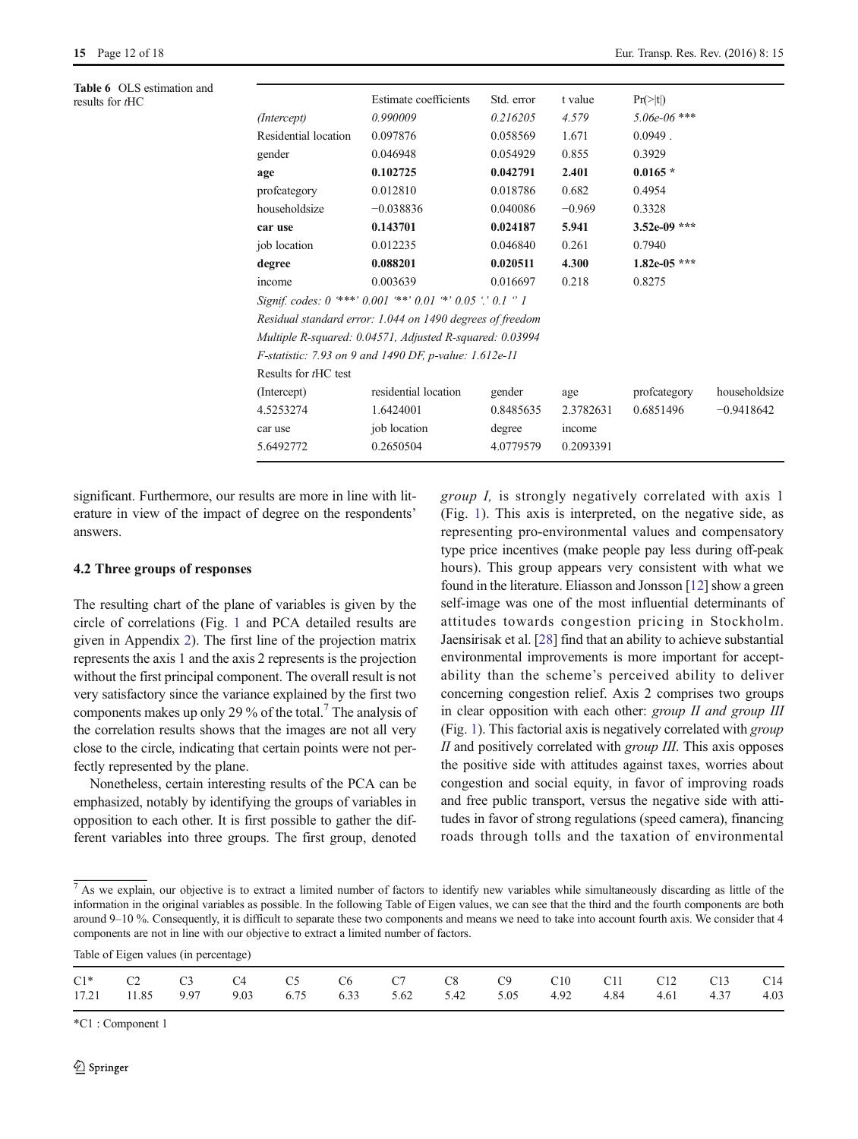<span id="page-11-0"></span>Table 6 OLS estimation and<br>results for tHC

| Residential location                                          | 0.097876             | 0.058569                          | 1.671                  | $0.0949$ .       |                                          |  |  |  |
|---------------------------------------------------------------|----------------------|-----------------------------------|------------------------|------------------|------------------------------------------|--|--|--|
| gender                                                        | 0.046948             | 0.054929                          | 0.855                  | 0.3929           |                                          |  |  |  |
| age                                                           | 0.102725             | 0.042791                          | 2.401                  | $0.0165*$        |                                          |  |  |  |
| profcategory                                                  | 0.012810             | 0.018786                          | 0.682                  | 0.4954           |                                          |  |  |  |
| householdsize                                                 | $-0.038836$          | 0.040086                          | $-0.969$               | 0.3328           |                                          |  |  |  |
| car use                                                       | 0.143701             | 0.024187                          | 5.941                  | $3.52e-09$ ***   |                                          |  |  |  |
| job location                                                  | 0.012235             | 0.046840                          | 0.261                  | 0.7940           |                                          |  |  |  |
| degree                                                        | 0.088201             | 0.020511                          | 4.300                  | $1.82e-05$ ***   |                                          |  |  |  |
| income                                                        | 0.003639             | 0.016697                          | 0.218                  | 0.8275           |                                          |  |  |  |
| Signif. codes: 0 ***' 0.001 **' 0.01 *' 0.05 '.' 0.1 " 1      |                      |                                   |                        |                  |                                          |  |  |  |
| Residual standard error: 1.044 on 1490 degrees of freedom     |                      |                                   |                        |                  |                                          |  |  |  |
| Multiple R-squared: 0.04571, Adjusted R-squared: 0.03994      |                      |                                   |                        |                  |                                          |  |  |  |
| <i>F-statistic:</i> 7.93 on 9 and 1490 DF, p-value: 1.612e-11 |                      |                                   |                        |                  |                                          |  |  |  |
| Results for tHC test                                          |                      |                                   |                        |                  |                                          |  |  |  |
| (Intercept)                                                   | residential location | gender                            | age                    | profeategory     | householdsize                            |  |  |  |
| 4.5253274                                                     | 1.6424001            | 0.8485635                         | 2.3782631              | 0.6851496        | $-0.9418642$                             |  |  |  |
| car use                                                       | job location         | degree                            | income                 |                  |                                          |  |  |  |
| 5.6492772                                                     | 0.2650504            | 4.0779579                         | 0.2093391              |                  |                                          |  |  |  |
|                                                               | (Intercept)          | Estimate coefficients<br>0.990009 | Std. error<br>0.216205 | t value<br>4.579 | $Pr(>\vert t \vert)$<br>$5.06e - 06$ *** |  |  |  |

significant. Furthermore, our results are more in line with literature in view of the impact of degree on the respondents' answers.

# 4.2 Three groups of responses

The resulting chart of the plane of variables is given by the circle of correlations (Fig. [1](#page-9-0) and PCA detailed results are given in Appendix [2\)](#page-15-0). The first line of the projection matrix represents the axis 1 and the axis 2 represents is the projection without the first principal component. The overall result is not very satisfactory since the variance explained by the first two components makes up only 29 % of the total.<sup>7</sup> The analysis of the correlation results shows that the images are not all very close to the circle, indicating that certain points were not perfectly represented by the plane.

Nonetheless, certain interesting results of the PCA can be emphasized, notably by identifying the groups of variables in opposition to each other. It is first possible to gather the different variables into three groups. The first group, denoted group I, is strongly negatively correlated with axis 1 (Fig. [1](#page-9-0)). This axis is interpreted, on the negative side, as representing pro-environmental values and compensatory type price incentives (make people pay less during off-peak hours). This group appears very consistent with what we found in the literature. Eliasson and Jonsson [\[12\]](#page-16-0) show a green self-image was one of the most influential determinants of attitudes towards congestion pricing in Stockholm. Jaensirisak et al. [\[28\]](#page-16-0) find that an ability to achieve substantial environmental improvements is more important for acceptability than the scheme's perceived ability to deliver concerning congestion relief. Axis 2 comprises two groups in clear opposition with each other: group II and group III (Fig. [1\)](#page-9-0). This factorial axis is negatively correlated with group II and positively correlated with *group III*. This axis opposes the positive side with attitudes against taxes, worries about congestion and social equity, in favor of improving roads and free public transport, versus the negative side with attitudes in favor of strong regulations (speed camera), financing roads through tolls and the taxation of environmental

 $<sup>7</sup>$  As we explain, our objective is to extract a limited number of factors to identify new variables while simultaneously discarding as little of the</sup> information in the original variables as possible. In the following Table of Eigen values, we can see that the third and the fourth components are both around 9–10 %. Consequently, it is difficult to separate these two components and means we need to take into account fourth axis. We consider that 4 components are not in line with our objective to extract a limited number of factors.

Table of Eigen values (in percentage)

|  |  |  |  | C1* C2 C3 C4 C5 C6 C7 C8 C9 C10 C11 C12 C13 C14                         |  |  |  |
|--|--|--|--|-------------------------------------------------------------------------|--|--|--|
|  |  |  |  | 17.21 11.85 9.97 9.03 6.75 6.33 5.62 5.42 5.05 4.92 4.84 4.61 4.37 4.03 |  |  |  |

\*C1 : Component 1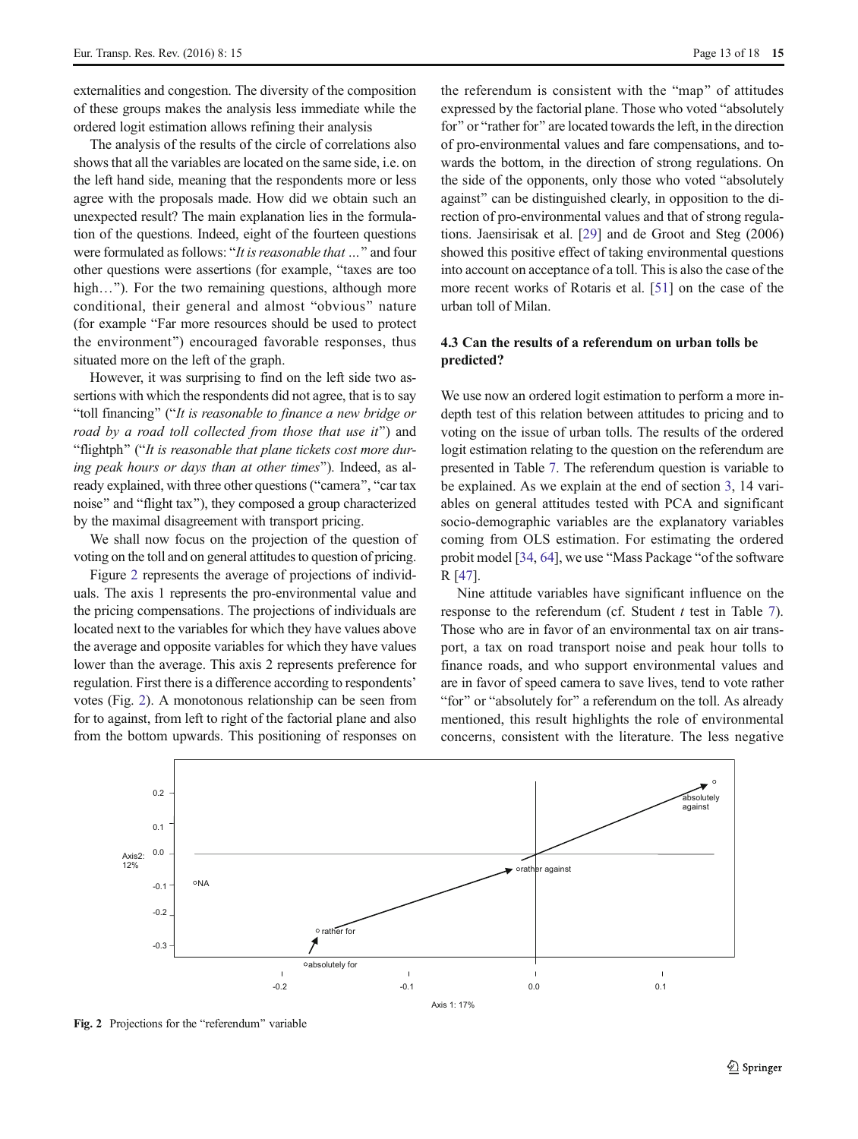externalities and congestion. The diversity of the composition of these groups makes the analysis less immediate while the ordered logit estimation allows refining their analysis

The analysis of the results of the circle of correlations also shows that all the variables are located on the same side, i.e. on the left hand side, meaning that the respondents more or less agree with the proposals made. How did we obtain such an unexpected result? The main explanation lies in the formulation of the questions. Indeed, eight of the fourteen questions were formulated as follows: "It is reasonable that ..." and four other questions were assertions (for example, "taxes are too high..."). For the two remaining questions, although more conditional, their general and almost "obvious" nature (for example "Far more resources should be used to protect the environment^) encouraged favorable responses, thus situated more on the left of the graph.

However, it was surprising to find on the left side two assertions with which the respondents did not agree, that is to say "toll financing" ("It is reasonable to finance a new bridge or road by a road toll collected from those that use it") and "flightph" ("It is reasonable that plane tickets cost more during peak hours or days than at other times"). Indeed, as already explained, with three other questions ("camera", "car tax noise" and "flight tax"), they composed a group characterized by the maximal disagreement with transport pricing.

We shall now focus on the projection of the question of voting on the toll and on general attitudes to question of pricing.

Figure 2 represents the average of projections of individuals. The axis 1 represents the pro-environmental value and the pricing compensations. The projections of individuals are located next to the variables for which they have values above the average and opposite variables for which they have values lower than the average. This axis 2 represents preference for regulation. First there is a difference according to respondents' votes (Fig. 2). A monotonous relationship can be seen from for to against, from left to right of the factorial plane and also from the bottom upwards. This positioning of responses on

the referendum is consistent with the "map" of attitudes expressed by the factorial plane. Those who voted "absolutely for" or "rather for" are located towards the left, in the direction of pro-environmental values and fare compensations, and towards the bottom, in the direction of strong regulations. On the side of the opponents, only those who voted "absolutely against" can be distinguished clearly, in opposition to the direction of pro-environmental values and that of strong regulations. Jaensirisak et al. [[29\]](#page-16-0) and de Groot and Steg (2006) showed this positive effect of taking environmental questions into account on acceptance of a toll. This is also the case of the more recent works of Rotaris et al. [[51](#page-17-0)] on the case of the urban toll of Milan.

# 4.3 Can the results of a referendum on urban tolls be predicted?

We use now an ordered logit estimation to perform a more indepth test of this relation between attitudes to pricing and to voting on the issue of urban tolls. The results of the ordered logit estimation relating to the question on the referendum are presented in Table [7](#page-13-0). The referendum question is variable to be explained. As we explain at the end of section [3](#page-4-0), 14 variables on general attitudes tested with PCA and significant socio-demographic variables are the explanatory variables coming from OLS estimation. For estimating the ordered probit model [[34,](#page-16-0) [64\]](#page-17-0), we use "Mass Package "of the software R [[47](#page-17-0)].

Nine attitude variables have significant influence on the response to the referendum (cf. Student  $t$  test in Table [7\)](#page-13-0). Those who are in favor of an environmental tax on air transport, a tax on road transport noise and peak hour tolls to finance roads, and who support environmental values and are in favor of speed camera to save lives, tend to vote rather "for" or "absolutely for" a referendum on the toll. As already mentioned, this result highlights the role of environmental concerns, consistent with the literature. The less negative



Fig. 2 Projections for the "referendum" variable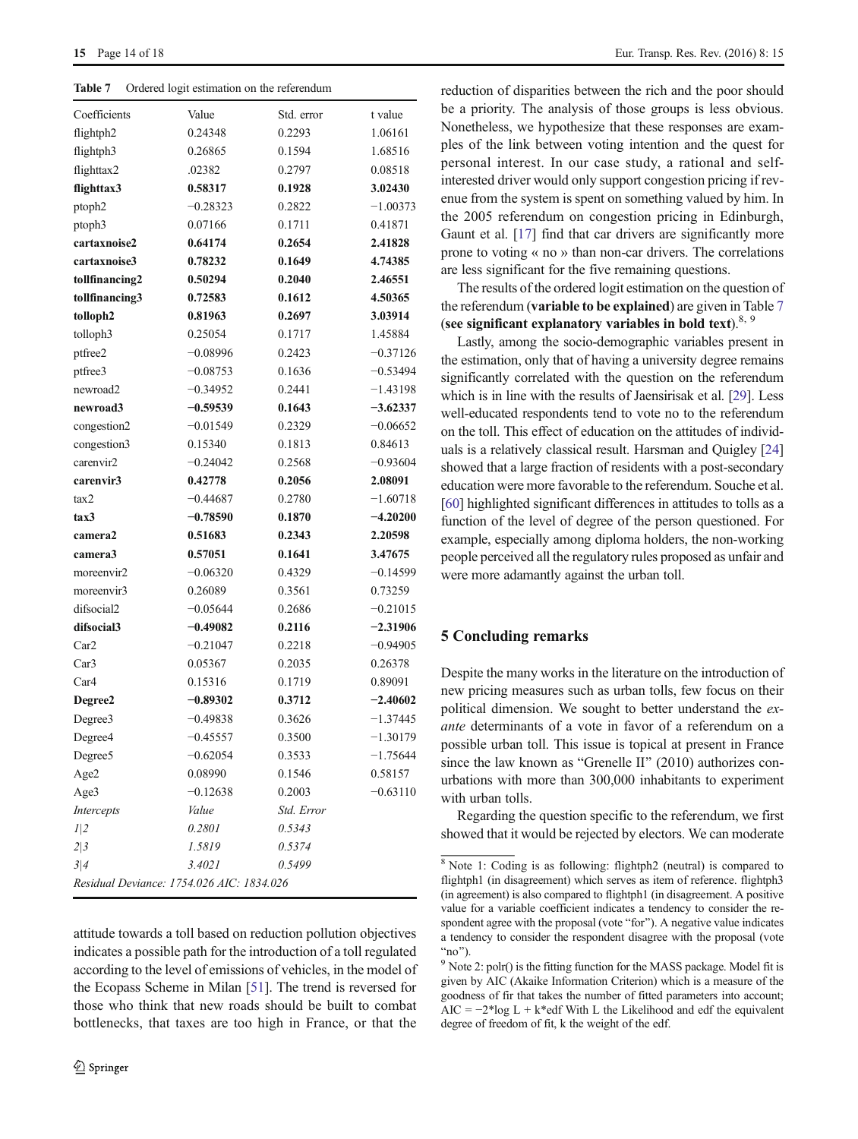<span id="page-13-0"></span>Table 7 Ordered logit estimation on the referendum

| Coefficients                              | Value      | Std. error | t value    |
|-------------------------------------------|------------|------------|------------|
| flightph <sub>2</sub>                     | 0.24348    | 0.2293     | 1.06161    |
| flightph3                                 | 0.26865    | 0.1594     | 1.68516    |
| flighttax2                                | .02382     | 0.2797     | 0.08518    |
| flighttax3                                | 0.58317    | 0.1928     | 3.02430    |
| ptoph2                                    | $-0.28323$ | 0.2822     | $-1.00373$ |
| ptoph3                                    | 0.07166    | 0.1711     | 0.41871    |
| cartaxnoise2                              | 0.64174    | 0.2654     | 2.41828    |
| cartaxnoise3                              | 0.78232    | 0.1649     | 4.74385    |
| tollfinancing2                            | 0.50294    | 0.2040     | 2.46551    |
| tollfinancing3                            | 0.72583    | 0.1612     | 4.50365    |
| tolloph2                                  | 0.81963    | 0.2697     | 3.03914    |
| tolloph <sub>3</sub>                      | 0.25054    | 0.1717     | 1.45884    |
| ptfree2                                   | $-0.08996$ | 0.2423     | $-0.37126$ |
| ptfree3                                   | $-0.08753$ | 0.1636     | $-0.53494$ |
| newroad2                                  | $-0.34952$ | 0.2441     | $-1.43198$ |
| newroad3                                  | $-0.59539$ | 0.1643     | $-3.62337$ |
| congestion2                               | $-0.01549$ | 0.2329     | $-0.06652$ |
| congestion3                               | 0.15340    | 0.1813     | 0.84613    |
| carenvir2                                 | $-0.24042$ | 0.2568     | $-0.93604$ |
| carenvir3                                 | 0.42778    | 0.2056     | 2.08091    |
| tax2                                      | $-0.44687$ | 0.2780     | $-1.60718$ |
| tax3                                      | $-0.78590$ | 0.1870     | $-4.20200$ |
| camera2                                   | 0.51683    | 0.2343     | 2.20598    |
| camera3                                   | 0.57051    | 0.1641     | 3.47675    |
| moreenvir2                                | $-0.06320$ | 0.4329     | $-0.14599$ |
| moreenvir3                                | 0.26089    | 0.3561     | 0.73259    |
| difsocial2                                | $-0.05644$ | 0.2686     | $-0.21015$ |
| difsocial3                                | $-0.49082$ | 0.2116     | $-2.31906$ |
| Car <sub>2</sub>                          | $-0.21047$ | 0.2218     | $-0.94905$ |
| Car3                                      | 0.05367    | 0.2035     | 0.26378    |
| Car4                                      | 0.15316    | 0.1719     | 0.89091    |
| Degree2                                   | $-0.89302$ | 0.3712     | $-2.40602$ |
| Degree3                                   | $-0.49838$ | 0.3626     | $-1.37445$ |
| Degree4                                   | $-0.45557$ | 0.3500     | $-1.30179$ |
| Degree5                                   | $-0.62054$ | 0.3533     | $-1.75644$ |
| Age2                                      | 0.08990    | 0.1546     | 0.58157    |
| Age3                                      | $-0.12638$ | 0.2003     | $-0.63110$ |
| Intercepts                                | Value      | Std. Error |            |
| 1 2                                       | 0.2801     | 0.5343     |            |
| 2 3                                       | 1.5819     | 0.5374     |            |
| 3 4                                       | 3.4021     | 0.5499     |            |
| Residual Deviance: 1754.026 AIC: 1834.026 |            |            |            |

attitude towards a toll based on reduction pollution objectives indicates a possible path for the introduction of a toll regulated according to the level of emissions of vehicles, in the model of the Ecopass Scheme in Milan [[51\]](#page-17-0). The trend is reversed for those who think that new roads should be built to combat bottlenecks, that taxes are too high in France, or that the

reduction of disparities between the rich and the poor should be a priority. The analysis of those groups is less obvious. Nonetheless, we hypothesize that these responses are examples of the link between voting intention and the quest for personal interest. In our case study, a rational and selfinterested driver would only support congestion pricing if revenue from the system is spent on something valued by him. In the 2005 referendum on congestion pricing in Edinburgh, Gaunt et al. [\[17](#page-16-0)] find that car drivers are significantly more prone to voting « no » than non-car drivers. The correlations are less significant for the five remaining questions.

The results of the ordered logit estimation on the question of the referendum (variable to be explained) are given in Table 7 (see significant explanatory variables in bold text). $8, 9$ 

Lastly, among the socio-demographic variables present in the estimation, only that of having a university degree remains significantly correlated with the question on the referendum which is in line with the results of Jaensirisak et al. [\[29\]](#page-16-0). Less well-educated respondents tend to vote no to the referendum on the toll. This effect of education on the attitudes of individuals is a relatively classical result. Harsman and Quigley [\[24](#page-16-0)] showed that a large fraction of residents with a post-secondary education were more favorable to the referendum. Souche et al. [\[60\]](#page-17-0) highlighted significant differences in attitudes to tolls as a function of the level of degree of the person questioned. For example, especially among diploma holders, the non-working people perceived all the regulatory rules proposed as unfair and were more adamantly against the urban toll.

# 5 Concluding remarks

Despite the many works in the literature on the introduction of new pricing measures such as urban tolls, few focus on their political dimension. We sought to better understand the exante determinants of a vote in favor of a referendum on a possible urban toll. This issue is topical at present in France since the law known as "Grenelle II" (2010) authorizes conurbations with more than 300,000 inhabitants to experiment with urban tolls.

Regarding the question specific to the referendum, we first showed that it would be rejected by electors. We can moderate

<sup>8</sup> Note 1: Coding is as following: flightph2 (neutral) is compared to flightph1 (in disagreement) which serves as item of reference. flightph3 (in agreement) is also compared to flightph1 (in disagreement. A positive value for a variable coefficient indicates a tendency to consider the respondent agree with the proposal (vote "for"). A negative value indicates a tendency to consider the respondent disagree with the proposal (vote "no"). 9 Note 2: polr() is the fitting function for the MASS package. Model fit is

given by AIC (Akaike Information Criterion) which is a measure of the goodness of fir that takes the number of fitted parameters into account; AIC =  $-2$ \*log L + k\*edf With L the Likelihood and edf the equivalent degree of freedom of fit, k the weight of the edf.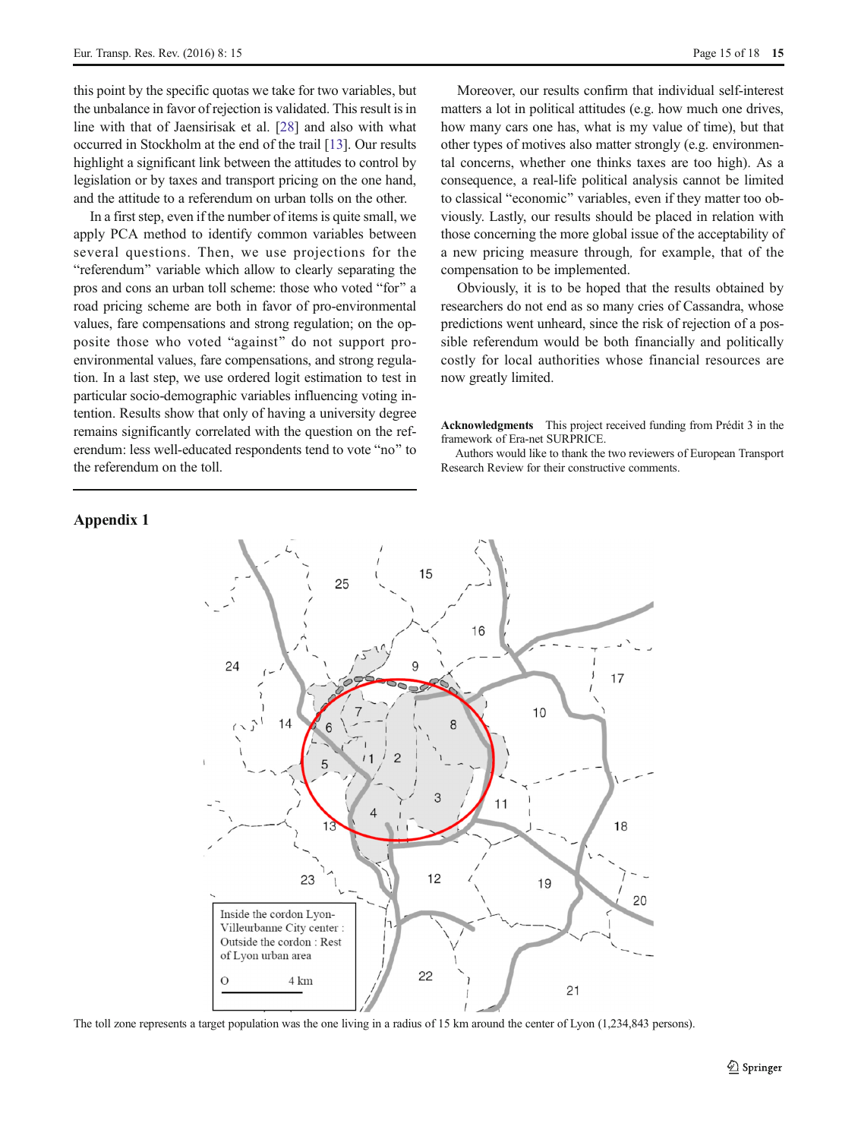this point by the specific quotas we take for two variables, but the unbalance in favor of rejection is validated. This result is in line with that of Jaensirisak et al. [[28](#page-16-0)] and also with what occurred in Stockholm at the end of the trail [\[13](#page-16-0)]. Our results highlight a significant link between the attitudes to control by legislation or by taxes and transport pricing on the one hand, and the attitude to a referendum on urban tolls on the other.

In a first step, even if the number of items is quite small, we apply PCA method to identify common variables between several questions. Then, we use projections for the "referendum" variable which allow to clearly separating the pros and cons an urban toll scheme: those who voted "for" a road pricing scheme are both in favor of pro-environmental values, fare compensations and strong regulation; on the opposite those who voted "against" do not support proenvironmental values, fare compensations, and strong regulation. In a last step, we use ordered logit estimation to test in particular socio-demographic variables influencing voting intention. Results show that only of having a university degree remains significantly correlated with the question on the referendum: less well-educated respondents tend to vote "no" to the referendum on the toll.

# Appendix 1

Moreover, our results confirm that individual self-interest matters a lot in political attitudes (e.g. how much one drives, how many cars one has, what is my value of time), but that other types of motives also matter strongly (e.g. environmental concerns, whether one thinks taxes are too high). As a consequence, a real-life political analysis cannot be limited to classical "economic" variables, even if they matter too obviously. Lastly, our results should be placed in relation with those concerning the more global issue of the acceptability of a new pricing measure through, for example, that of the compensation to be implemented.

Obviously, it is to be hoped that the results obtained by researchers do not end as so many cries of Cassandra, whose predictions went unheard, since the risk of rejection of a possible referendum would be both financially and politically costly for local authorities whose financial resources are now greatly limited.

Acknowledgments This project received funding from Prédit 3 in the framework of Era-net SURPRICE.

Authors would like to thank the two reviewers of European Transport Research Review for their constructive comments.



The toll zone represents a target population was the one living in a radius of 15 km around the center of Lyon (1,234,843 persons).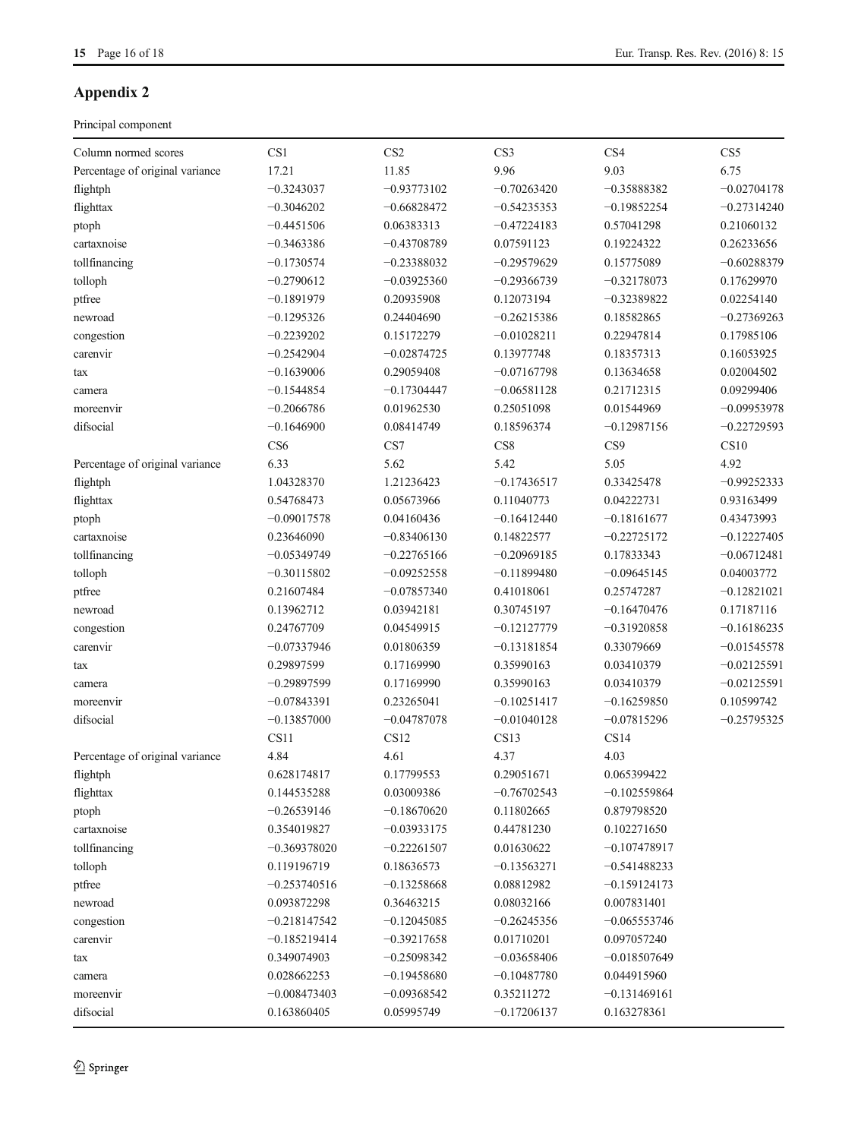# <span id="page-15-0"></span>Appendix 2

Principal component

| Column normed scores            | CS1             | CS <sub>2</sub> | CS3           | CS <sub>4</sub> | CS <sub>5</sub> |
|---------------------------------|-----------------|-----------------|---------------|-----------------|-----------------|
| Percentage of original variance | 17.21           | 11.85           | 9.96          | 9.03            | 6.75            |
| flightph                        | $-0.3243037$    | $-0.93773102$   | $-0.70263420$ | $-0.35888382$   | $-0.02704178$   |
| flighttax                       | $-0.3046202$    | $-0.66828472$   | $-0.54235353$ | $-0.19852254$   | $-0.27314240$   |
| ptoph                           | $-0.4451506$    | 0.06383313      | $-0.47224183$ | 0.57041298      | 0.21060132      |
| cartaxnoise                     | $-0.3463386$    | $-0.43708789$   | 0.07591123    | 0.19224322      | 0.26233656      |
| tollfinancing                   | $-0.1730574$    | $-0.23388032$   | $-0.29579629$ | 0.15775089      | $-0.60288379$   |
| tolloph                         | $-0.2790612$    | $-0.03925360$   | $-0.29366739$ | $-0.32178073$   | 0.17629970      |
| ptfree                          | $-0.1891979$    | 0.20935908      | 0.12073194    | $-0.32389822$   | 0.02254140      |
| newroad                         | $-0.1295326$    | 0.24404690      | $-0.26215386$ | 0.18582865      | $-0.27369263$   |
| congestion                      | $-0.2239202$    | 0.15172279      | $-0.01028211$ | 0.22947814      | 0.17985106      |
| carenvir                        | $-0.2542904$    | $-0.02874725$   | 0.13977748    | 0.18357313      | 0.16053925      |
| tax                             | $-0.1639006$    | 0.29059408      | $-0.07167798$ | 0.13634658      | 0.02004502      |
| camera                          | $-0.1544854$    | $-0.17304447$   | $-0.06581128$ | 0.21712315      | 0.09299406      |
| moreenvir                       | $-0.2066786$    | 0.01962530      | 0.25051098    | 0.01544969      | $-0.09953978$   |
| difsocial                       | $-0.1646900$    | 0.08414749      | 0.18596374    | $-0.12987156$   | $-0.22729593$   |
|                                 | CS <sub>6</sub> | CS7             | CS8           | CS9             | CS10            |
| Percentage of original variance | 6.33            | 5.62            | 5.42          | 5.05            | 4.92            |
| flightph                        | 1.04328370      | 1.21236423      | $-0.17436517$ | 0.33425478      | $-0.99252333$   |
| flighttax                       | 0.54768473      | 0.05673966      | 0.11040773    | 0.04222731      | 0.93163499      |
| ptoph                           | $-0.09017578$   | 0.04160436      | $-0.16412440$ | $-0.18161677$   | 0.43473993      |
| cartaxnoise                     | 0.23646090      | $-0.83406130$   | 0.14822577    | $-0.22725172$   | $-0.12227405$   |
| tollfinancing                   | $-0.05349749$   | $-0.22765166$   | $-0.20969185$ | 0.17833343      | $-0.06712481$   |
| tolloph                         | $-0.30115802$   | $-0.09252558$   | $-0.11899480$ | $-0.09645145$   | 0.04003772      |
| ptfree                          | 0.21607484      | $-0.07857340$   | 0.41018061    | 0.25747287      | $-0.12821021$   |
| newroad                         | 0.13962712      | 0.03942181      | 0.30745197    | $-0.16470476$   | 0.17187116      |
| congestion                      | 0.24767709      | 0.04549915      | $-0.12127779$ | $-0.31920858$   | $-0.16186235$   |
| carenvir                        | $-0.07337946$   | 0.01806359      | $-0.13181854$ | 0.33079669      | $-0.01545578$   |
| tax                             | 0.29897599      | 0.17169990      | 0.35990163    | 0.03410379      | $-0.02125591$   |
| camera                          | $-0.29897599$   | 0.17169990      | 0.35990163    | 0.03410379      | $-0.02125591$   |
| moreenvir                       | $-0.07843391$   | 0.23265041      | $-0.10251417$ | $-0.16259850$   | 0.10599742      |
| difsocial                       | $-0.13857000$   | $-0.04787078$   | $-0.01040128$ | $-0.07815296$   | $-0.25795325$   |
|                                 | CS11            | CS12            | CS13          | CS14            |                 |
| Percentage of original variance | 4.84            | 4.61            | 4.37          | 4.03            |                 |
| flightph                        | 0.628174817     | 0.17799553      | 0.29051671    | 0.065399422     |                 |
| flighttax                       | 0.144535288     | 0.03009386      | $-0.76702543$ | $-0.102559864$  |                 |
| ptoph                           | $-0.26539146$   | $-0.18670620$   | 0.11802665    | 0.879798520     |                 |
| cartaxnoise                     | 0.354019827     | $-0.03933175$   | 0.44781230    | 0.102271650     |                 |
| tollfinancing                   | $-0.369378020$  | $-0.22261507$   | 0.01630622    | $-0.107478917$  |                 |
| tolloph                         | 0.119196719     | 0.18636573      | -0.13563271   | -0.541488233    |                 |
| ptfree                          | $-0.253740516$  | $-0.13258668$   | 0.08812982    | -0.159124173    |                 |
| newroad                         | 0.093872298     | 0.36463215      | 0.08032166    | 0.007831401     |                 |
| congestion                      | $-0.218147542$  | $-0.12045085$   | $-0.26245356$ | $-0.065553746$  |                 |
| carenvir                        | $-0.185219414$  | $-0.39217658$   | 0.01710201    | 0.097057240     |                 |
| tax                             | 0.349074903     | $-0.25098342$   | $-0.03658406$ | $-0.018507649$  |                 |
| camera                          | 0.028662253     | $-0.19458680$   | $-0.10487780$ | 0.044915960     |                 |
| moreenvir                       | $-0.008473403$  | $-0.09368542$   | 0.35211272    | $-0.131469161$  |                 |
| difsocial                       | 0.163860405     | 0.05995749      | $-0.17206137$ | 0.163278361     |                 |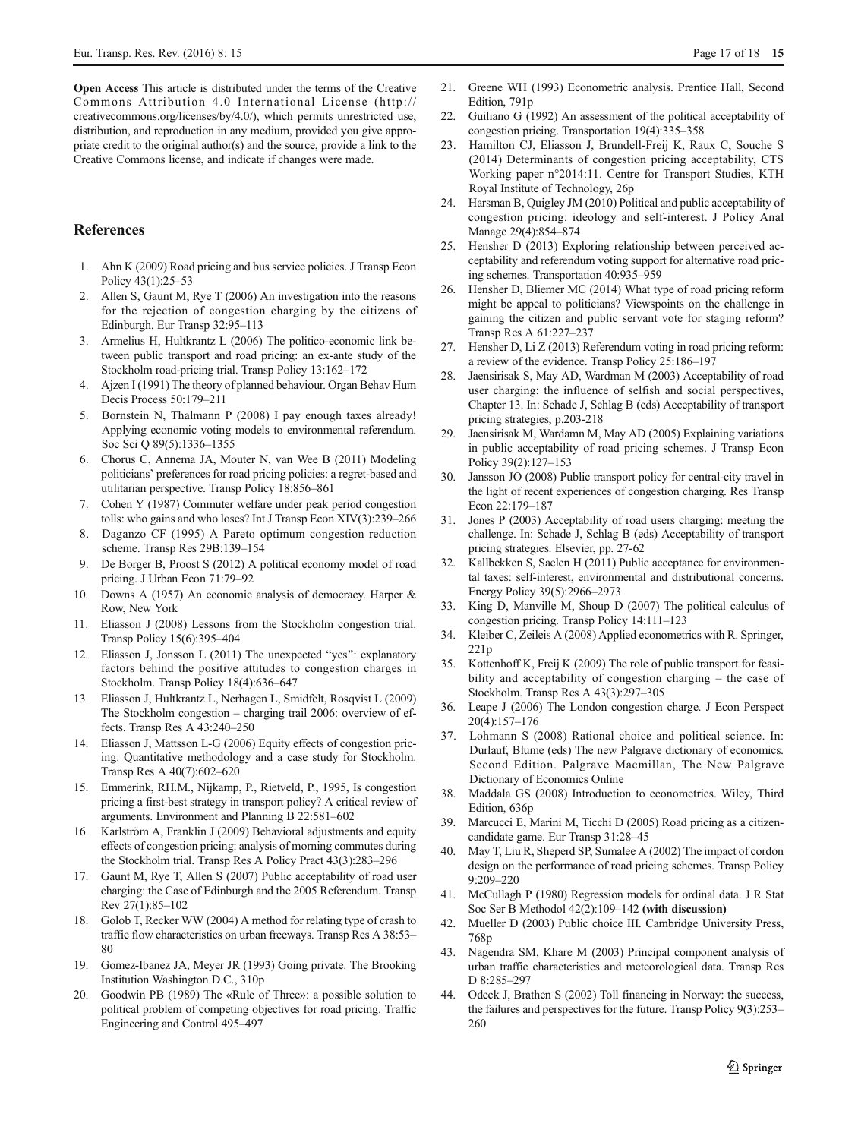<span id="page-16-0"></span>Open Access This article is distributed under the terms of the Creative Commons Attribution 4.0 International License (http:// creativecommons.org/licenses/by/4.0/), which permits unrestricted use, distribution, and reproduction in any medium, provided you give appropriate credit to the original author(s) and the source, provide a link to the Creative Commons license, and indicate if changes were made.

# References

- 1. Ahn K (2009) Road pricing and bus service policies. J Transp Econ Policy 43(1):25–53
- 2. Allen S, Gaunt M, Rye T (2006) An investigation into the reasons for the rejection of congestion charging by the citizens of Edinburgh. Eur Transp 32:95–113
- 3. Armelius H, Hultkrantz L (2006) The politico-economic link between public transport and road pricing: an ex-ante study of the Stockholm road-pricing trial. Transp Policy 13:162–172
- 4. Ajzen I (1991) The theory of planned behaviour. Organ Behav Hum Decis Process 50:179–211
- 5. Bornstein N, Thalmann P (2008) I pay enough taxes already! Applying economic voting models to environmental referendum. Soc Sci Q 89(5):1336–1355
- 6. Chorus C, Annema JA, Mouter N, van Wee B (2011) Modeling politicians' preferences for road pricing policies: a regret-based and utilitarian perspective. Transp Policy 18:856–861
- 7. Cohen Y (1987) Commuter welfare under peak period congestion tolls: who gains and who loses? Int J Transp Econ XIV(3):239–266
- Daganzo CF (1995) A Pareto optimum congestion reduction scheme. Transp Res 29B:139–154
- 9. De Borger B, Proost S (2012) A political economy model of road pricing. J Urban Econ 71:79–92
- 10. Downs A (1957) An economic analysis of democracy. Harper & Row, New York
- 11. Eliasson J (2008) Lessons from the Stockholm congestion trial. Transp Policy 15(6):395–404
- 12. Eliasson J, Jonsson L (2011) The unexpected "yes": explanatory factors behind the positive attitudes to congestion charges in Stockholm. Transp Policy 18(4):636–647
- 13. Eliasson J, Hultkrantz L, Nerhagen L, Smidfelt, Rosqvist L (2009) The Stockholm congestion – charging trail 2006: overview of effects. Transp Res A 43:240–250
- 14. Eliasson J, Mattsson L-G (2006) Equity effects of congestion pricing. Quantitative methodology and a case study for Stockholm. Transp Res A 40(7):602–620
- 15. Emmerink, RH.M., Nijkamp, P., Rietveld, P., 1995, Is congestion pricing a first-best strategy in transport policy? A critical review of arguments. Environment and Planning B 22:581–602
- 16. Karlström A, Franklin J (2009) Behavioral adjustments and equity effects of congestion pricing: analysis of morning commutes during the Stockholm trial. Transp Res A Policy Pract 43(3):283–296
- 17. Gaunt M, Rye T, Allen S (2007) Public acceptability of road user charging: the Case of Edinburgh and the 2005 Referendum. Transp Rev 27(1):85–102
- 18. Golob T, Recker WW (2004) A method for relating type of crash to traffic flow characteristics on urban freeways. Transp Res A 38:53– 80
- 19. Gomez-Ibanez JA, Meyer JR (1993) Going private. The Brooking Institution Washington D.C., 310p
- 20. Goodwin PB (1989) The «Rule of Three»: a possible solution to political problem of competing objectives for road pricing. Traffic Engineering and Control 495–497
- 21. Greene WH (1993) Econometric analysis. Prentice Hall, Second Edition, 791p
- 22. Guiliano G (1992) An assessment of the political acceptability of congestion pricing. Transportation 19(4):335–358
- 23. Hamilton CJ, Eliasson J, Brundell-Freij K, Raux C, Souche S (2014) Determinants of congestion pricing acceptability, CTS Working paper n°2014:11. Centre for Transport Studies, KTH Royal Institute of Technology, 26p
- 24. Harsman B, Quigley JM (2010) Political and public acceptability of congestion pricing: ideology and self-interest. J Policy Anal Manage 29(4):854–874
- 25. Hensher D (2013) Exploring relationship between perceived acceptability and referendum voting support for alternative road pricing schemes. Transportation 40:935–959
- 26. Hensher D, Bliemer MC (2014) What type of road pricing reform might be appeal to politicians? Viewspoints on the challenge in gaining the citizen and public servant vote for staging reform? Transp Res A 61:227–237
- 27. Hensher D, Li Z (2013) Referendum voting in road pricing reform: a review of the evidence. Transp Policy 25:186–197
- 28. Jaensirisak S, May AD, Wardman M (2003) Acceptability of road user charging: the influence of selfish and social perspectives, Chapter 13. In: Schade J, Schlag B (eds) Acceptability of transport pricing strategies, p.203-218
- 29. Jaensirisak M, Wardamn M, May AD (2005) Explaining variations in public acceptability of road pricing schemes. J Transp Econ Policy 39(2):127–153
- 30. Jansson JO (2008) Public transport policy for central-city travel in the light of recent experiences of congestion charging. Res Transp Econ 22:179–187
- 31. Jones P (2003) Acceptability of road users charging: meeting the challenge. In: Schade J, Schlag B (eds) Acceptability of transport pricing strategies. Elsevier, pp. 27-62
- 32. Kallbekken S, Saelen H (2011) Public acceptance for environmental taxes: self-interest, environmental and distributional concerns. Energy Policy 39(5):2966–2973
- 33. King D, Manville M, Shoup D (2007) The political calculus of congestion pricing. Transp Policy 14:111–123
- 34. Kleiber C, Zeileis A (2008) Applied econometrics with R. Springer, 221p
- 35. Kottenhoff K, Freij K (2009) The role of public transport for feasibility and acceptability of congestion charging – the case of Stockholm. Transp Res A 43(3):297–305
- 36. Leape J (2006) The London congestion charge. J Econ Perspect 20(4):157–176
- 37. Lohmann S (2008) Rational choice and political science. In: Durlauf, Blume (eds) The new Palgrave dictionary of economics. Second Edition. Palgrave Macmillan, The New Palgrave Dictionary of Economics Online
- 38. Maddala GS (2008) Introduction to econometrics. Wiley, Third Edition, 636p
- 39. Marcucci E, Marini M, Ticchi D (2005) Road pricing as a citizencandidate game. Eur Transp 31:28–45
- 40. May T, Liu R, Sheperd SP, Sumalee A (2002) The impact of cordon design on the performance of road pricing schemes. Transp Policy 9:209–220
- 41. McCullagh P (1980) Regression models for ordinal data. J R Stat Soc Ser B Methodol 42(2):109–142 (with discussion)
- 42. Mueller D (2003) Public choice III. Cambridge University Press, 768p
- 43. Nagendra SM, Khare M (2003) Principal component analysis of urban traffic characteristics and meteorological data. Transp Res D 8:285–297
- 44. Odeck J, Brathen S (2002) Toll financing in Norway: the success, the failures and perspectives for the future. Transp Policy 9(3):253– 260